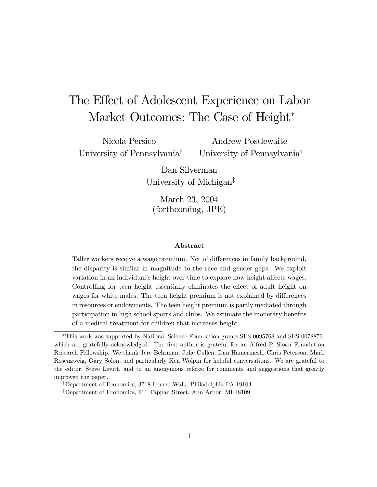# The Effect of Adolescent Experience on Labor Market Outcomes: The Case of Height<sup>\*</sup>

Nicola Persico University of Pennsylvania†

Andrew Postlewaite University of Pennsylvania†

Dan Silverman University of Michigan‡

March 23, 2004 (forthcoming, JPE)

#### Abstract

Taller workers receive a wage premium. Net of differences in family background, the disparity is similar in magnitude to the race and gender gaps. We exploit variation in an individual's height over time to explore how height affects wages. Controlling for teen height essentially eliminates the effect of adult height on wages for white males. The teen height premium is not explained by differences in resources or endowments. The teen height premium is partly mediated through participation in high school sports and clubs. We estimate the monetary benefits of a medical treatment for children that increases height.

<sup>∗</sup>This work was supported by National Science Foundation grants SES 0095768 and SES-0078870, which are gratefully acknowledged. The first author is grateful for an Alfred P. Sloan Foundation Research Fellowship. We thank Jere Behrman, Julie Cullen, Dan Hamermesh, Chris Peterson, Mark Rosenzweig, Gary Solon, and particularly Ken Wolpin for helpful conversations. We are grateful to the editor, Steve Levitt, and to an anonymous referee for comments and suggestions that greatly improved the paper.

<sup>†</sup>Department of Economics, 3718 Locust Walk, Philadelphia PA 19104.

<sup>‡</sup>Department of Economics, 611 Tappan Street, Ann Arbor, MI 48109.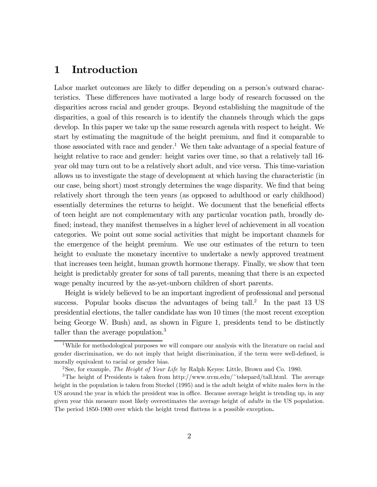### 1 Introduction

Labor market outcomes are likely to differ depending on a person's outward characteristics. These differences have motivated a large body of research focussed on the disparities across racial and gender groups. Beyond establishing the magnitude of the disparities, a goal of this research is to identify the channels through which the gaps develop. In this paper we take up the same research agenda with respect to height. We start by estimating the magnitude of the height premium, and find it comparable to those associated with race and gender.<sup>1</sup> We then take advantage of a special feature of height relative to race and gender: height varies over time, so that a relatively tall 16year old may turn out to be a relatively short adult, and vice versa. This time-variation allows us to investigate the stage of development at which having the characteristic (in our case, being short) most strongly determines the wage disparity. We find that being relatively short through the teen years (as opposed to adulthood or early childhood) essentially determines the returns to height. We document that the beneficial effects of teen height are not complementary with any particular vocation path, broadly defined; instead, they manifest themselves in a higher level of achievement in all vocation categories. We point out some social activities that might be important channels for the emergence of the height premium. We use our estimates of the return to teen height to evaluate the monetary incentive to undertake a newly approved treatment that increases teen height, human growth hormone therapy. Finally, we show that teen height is predictably greater for sons of tall parents, meaning that there is an expected wage penalty incurred by the as-yet-unborn children of short parents.

Height is widely believed to be an important ingredient of professional and personal success. Popular books discuss the advantages of being tall.<sup>2</sup> In the past 13 US presidential elections, the taller candidate has won 10 times (the most recent exception being George W. Bush) and, as shown in Figure 1, presidents tend to be distinctly taller than the average population.<sup>3</sup>

<sup>&</sup>lt;sup>1</sup>While for methodological purposes we will compare our analysis with the literature on racial and gender discrimination, we do not imply that height discrimination, if the term were well-defined, is morally equivalent to racial or gender bias.

<sup>&</sup>lt;sup>2</sup>See, for example, *The Height of Your Life* by Ralph Keyes: Little, Brown and Co. 1980.

<sup>3</sup>The height of Presidents is taken from http://www.uvm.edu/~tshepard/tall.html. The average height in the population is taken from Steckel (1995) and is the adult height of white males *born* in the US around the year in which the president was in office. Because average height is trending up, in any given year this measure most likely overestimates the average height of adults in the US population. The period 1850-1900 over which the height trend flattens is a possible exception.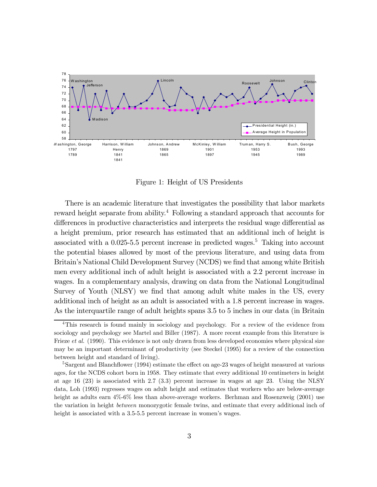

Figure 1: Height of US Presidents

There is an academic literature that investigates the possibility that labor markets reward height separate from ability.<sup>4</sup> Following a standard approach that accounts for differences in productive characteristics and interprets the residual wage differential as a height premium, prior research has estimated that an additional inch of height is associated with a  $0.025-5.5$  percent increase in predicted wages.<sup>5</sup> Taking into account the potential biases allowed by most of the previous literature, and using data from Britain's National Child Development Survey (NCDS) we find that among white British men every additional inch of adult height is associated with a 2.2 percent increase in wages. In a complementary analysis, drawing on data from the National Longitudinal Survey of Youth (NLSY) we find that among adult white males in the US, every additional inch of height as an adult is associated with a 1.8 percent increase in wages. As the interquartile range of adult heights spans 3.5 to 5 inches in our data (in Britain

<sup>4</sup>This research is found mainly in sociology and psychology. For a review of the evidence from sociology and psychology see Martel and Biller (1987). A more recent example from this literature is Frieze *et al.* (1990). This evidence is not only drawn from less developed economies where physical size may be an important determinant of productivity (see Steckel (1995) for a review of the connection between height and standard of living).

<sup>&</sup>lt;sup>5</sup>Sargent and Blanchflower (1994) estimate the effect on age-23 wages of height measured at various ages, for the NCDS cohort born in 1958. They estimate that every additional 10 centimeters in height at age 16 (23) is associated with 2.7 (3.3) percent increase in wages at age 23. Using the NLSY data, Loh (1993) regresses wages on adult height and estimates that workers who are below-average height as adults earn  $4\%$ -6% less than above-average workers. Berhman and Rosenzweig (2001) use the variation in height between monozygotic female twins, and estimate that every additional inch of height is associated with a 3.5-5.5 percent increase in women's wages.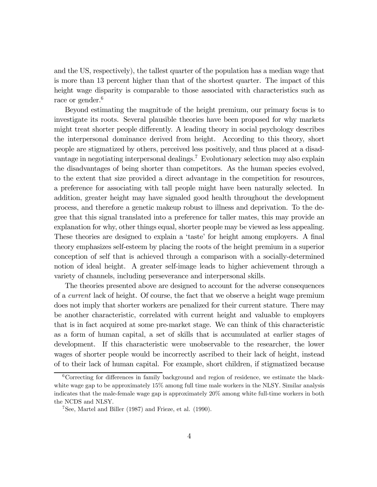and the US, respectively), the tallest quarter of the population has a median wage that is more than 13 percent higher than that of the shortest quarter. The impact of this height wage disparity is comparable to those associated with characteristics such as race or gender.<sup>6</sup>

Beyond estimating the magnitude of the height premium, our primary focus is to investigate its roots. Several plausible theories have been proposed for why markets might treat shorter people differently. A leading theory in social psychology describes the interpersonal dominance derived from height. According to this theory, short people are stigmatized by others, perceived less positively, and thus placed at a disadvantage in negotiating interpersonal dealings.<sup>7</sup> Evolutionary selection may also explain the disadvantages of being shorter than competitors. As the human species evolved, to the extent that size provided a direct advantage in the competition for resources, a preference for associating with tall people might have been naturally selected. In addition, greater height may have signaled good health throughout the development process, and therefore a genetic makeup robust to illness and deprivation. To the degree that this signal translated into a preference for taller mates, this may provide an explanation for why, other things equal, shorter people may be viewed as less appealing. These theories are designed to explain a 'taste' for height among employers. A final theory emphasizes self-esteem by placing the roots of the height premium in a superior conception of self that is achieved through a comparison with a socially-determined notion of ideal height. A greater self-image leads to higher achievement through a variety of channels, including perseverance and interpersonal skills.

The theories presented above are designed to account for the adverse consequences of a current lack of height. Of course, the fact that we observe a height wage premium does not imply that shorter workers are penalized for their current stature. There may be another characteristic, correlated with current height and valuable to employers that is in fact acquired at some pre-market stage. We can think of this characteristic as a form of human capital, a set of skills that is accumulated at earlier stages of development. If this characteristic were unobservable to the researcher, the lower wages of shorter people would be incorrectly ascribed to their lack of height, instead of to their lack of human capital. For example, short children, if stigmatized because

 $6C$ orrecting for differences in family background and region of residence, we estimate the blackwhite wage gap to be approximately 15% among full time male workers in the NLSY. Similar analysis indicates that the male-female wage gap is approximately 20% among white full-time workers in both the NCDS and NLSY.

<sup>7</sup>See, Martel and Biller (1987) and Frieze, et al. (1990).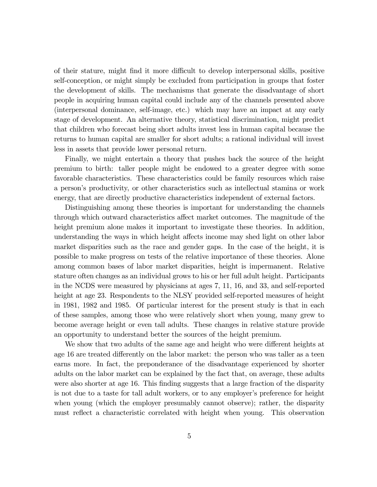of their stature, might find it more difficult to develop interpersonal skills, positive self-conception, or might simply be excluded from participation in groups that foster the development of skills. The mechanisms that generate the disadvantage of short people in acquiring human capital could include any of the channels presented above (interpersonal dominance, self-image, etc.) which may have an impact at any early stage of development. An alternative theory, statistical discrimination, might predict that children who forecast being short adults invest less in human capital because the returns to human capital are smaller for short adults; a rational individual will invest less in assets that provide lower personal return.

Finally, we might entertain a theory that pushes back the source of the height premium to birth: taller people might be endowed to a greater degree with some favorable characteristics. These characteristics could be family resources which raise a person's productivity, or other characteristics such as intellectual stamina or work energy, that are directly productive characteristics independent of external factors.

Distinguishing among these theories is important for understanding the channels through which outward characteristics affect market outcomes. The magnitude of the height premium alone makes it important to investigate these theories. In addition, understanding the ways in which height affects income may shed light on other labor market disparities such as the race and gender gaps. In the case of the height, it is possible to make progress on tests of the relative importance of these theories. Alone among common bases of labor market disparities, height is impermanent. Relative stature often changes as an individual grows to his or her full adult height. Participants in the NCDS were measured by physicians at ages 7, 11, 16, and 33, and self-reported height at age 23. Respondents to the NLSY provided self-reported measures of height in 1981, 1982 and 1985. Of particular interest for the present study is that in each of these samples, among those who were relatively short when young, many grew to become average height or even tall adults. These changes in relative stature provide an opportunity to understand better the sources of the height premium.

We show that two adults of the same age and height who were different heights at age 16 are treated differently on the labor market: the person who was taller as a teen earns more. In fact, the preponderance of the disadvantage experienced by shorter adults on the labor market can be explained by the fact that, on average, these adults were also shorter at age 16. This finding suggests that a large fraction of the disparity is not due to a taste for tall adult workers, or to any employer's preference for height when young (which the employer presumably cannot observe); rather, the disparity must reflect a characteristic correlated with height when young. This observation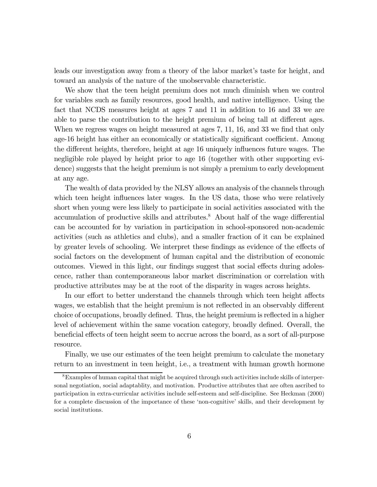leads our investigation away from a theory of the labor market's taste for height, and toward an analysis of the nature of the unobservable characteristic.

We show that the teen height premium does not much diminish when we control for variables such as family resources, good health, and native intelligence. Using the fact that NCDS measures height at ages 7 and 11 in addition to 16 and 33 we are able to parse the contribution to the height premium of being tall at different ages. When we regress wages on height measured at ages 7, 11, 16, and 33 we find that only age-16 height has either an economically or statistically significant coefficient. Among the different heights, therefore, height at age 16 uniquely influences future wages. The negligible role played by height prior to age 16 (together with other supporting evidence) suggests that the height premium is not simply a premium to early development at any age.

The wealth of data provided by the NLSY allows an analysis of the channels through which teen height influences later wages. In the US data, those who were relatively short when young were less likely to participate in social activities associated with the accumulation of productive skills and attributes.<sup>8</sup> About half of the wage differential can be accounted for by variation in participation in school-sponsored non-academic activities (such as athletics and clubs), and a smaller fraction of it can be explained by greater levels of schooling. We interpret these findings as evidence of the effects of social factors on the development of human capital and the distribution of economic outcomes. Viewed in this light, our findings suggest that social effects during adolescence, rather than contemporaneous labor market discrimination or correlation with productive attributes may be at the root of the disparity in wages across heights.

In our effort to better understand the channels through which teen height affects wages, we establish that the height premium is not reflected in an observably different choice of occupations, broadly defined. Thus, the height premium is reflected in a higher level of achievement within the same vocation category, broadly defined. Overall, the beneficial effects of teen height seem to accrue across the board, as a sort of all-purpose resource.

Finally, we use our estimates of the teen height premium to calculate the monetary return to an investment in teen height, i.e., a treatment with human growth hormone

<sup>8</sup>Examples of human capital that might be acquired through such activities include skills of interpersonal negotiation, social adaptablity, and motivation. Productive attributes that are often ascribed to participation in extra-curricular activities include self-esteem and self-discipline. See Heckman (2000) for a complete discussion of the importance of these 'non-cognitive' skills, and their development by social institutions.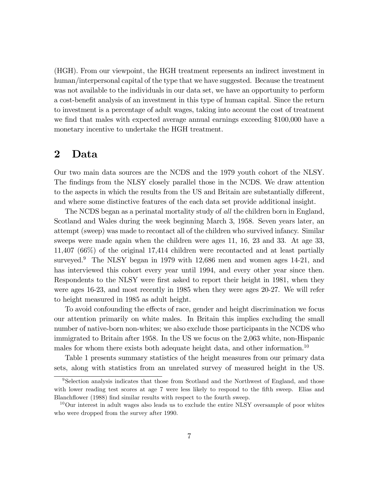(HGH). From our viewpoint, the HGH treatment represents an indirect investment in human/interpersonal capital of the type that we have suggested. Because the treatment was not available to the individuals in our data set, we have an opportunity to perform a cost-benefit analysis of an investment in this type of human capital. Since the return to investment is a percentage of adult wages, taking into account the cost of treatment we find that males with expected average annual earnings exceeding \$100,000 have a monetary incentive to undertake the HGH treatment.

### 2 Data

Our two main data sources are the NCDS and the 1979 youth cohort of the NLSY. The findings from the NLSY closely parallel those in the NCDS. We draw attention to the aspects in which the results from the US and Britain are substantially different, and where some distinctive features of the each data set provide additional insight.

The NCDS began as a perinatal mortality study of all the children born in England, Scotland and Wales during the week beginning March 3, 1958. Seven years later, an attempt (sweep) was made to recontact all of the children who survived infancy. Similar sweeps were made again when the children were ages 11, 16, 23 and 33. At age 33, 11,407 (66%) of the original 17,414 children were recontacted and at least partially surveyed.<sup>9</sup> The NLSY began in 1979 with  $12,686$  men and women ages 14-21, and has interviewed this cohort every year until 1994, and every other year since then. Respondents to the NLSY were first asked to report their height in 1981, when they were ages 16-23, and most recently in 1985 when they were ages 20-27. We will refer to height measured in 1985 as adult height.

To avoid confounding the effects of race, gender and height discrimination we focus our attention primarily on white males. In Britain this implies excluding the small number of native-born non-whites; we also exclude those participants in the NCDS who immigrated to Britain after 1958. In the US we focus on the 2,063 white, non-Hispanic males for whom there exists both adequate height data, and other information.<sup>10</sup>

Table 1 presents summary statistics of the height measures from our primary data sets, along with statistics from an unrelated survey of measured height in the US.

<sup>9</sup>Selection analysis indicates that those from Scotland and the Northwest of England, and those with lower reading test scores at age 7 were less likely to respond to the fifth sweep. Elias and Blanchflower (1988) find similar results with respect to the fourth sweep.

<sup>&</sup>lt;sup>10</sup>Our interest in adult wages also leads us to exclude the entire NLSY oversample of poor whites who were dropped from the survey after 1990.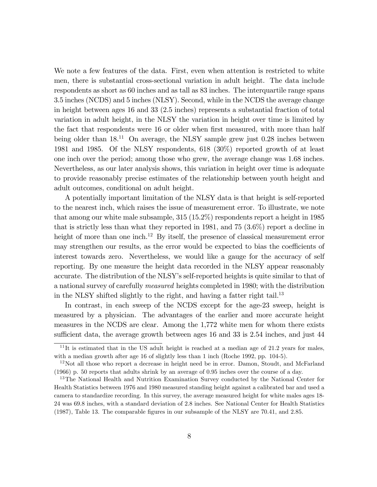We note a few features of the data. First, even when attention is restricted to white men, there is substantial cross-sectional variation in adult height. The data include respondents as short as 60 inches and as tall as 83 inches. The interquartile range spans 3.5 inches (NCDS) and 5 inches (NLSY). Second, while in the NCDS the average change in height between ages 16 and 33 (2.5 inches) represents a substantial fraction of total variation in adult height, in the NLSY the variation in height over time is limited by the fact that respondents were 16 or older when first measured, with more than half being older than  $18^{11}$  On average, the NLSY sample grew just 0.28 inches between 1981 and 1985. Of the NLSY respondents, 618 (30%) reported growth of at least one inch over the period; among those who grew, the average change was 1.68 inches. Nevertheless, as our later analysis shows, this variation in height over time is adequate to provide reasonably precise estimates of the relationship between youth height and adult outcomes, conditional on adult height.

A potentially important limitation of the NLSY data is that height is self-reported to the nearest inch, which raises the issue of measurement error. To illustrate, we note that among our white male subsample, 315 (15.2%) respondents report a height in 1985 that is strictly less than what they reported in 1981, and 75 (3.6%) report a decline in height of more than one inch.<sup>12</sup> By itself, the presence of classical measurement error may strengthen our results, as the error would be expected to bias the coefficients of interest towards zero. Nevertheless, we would like a gauge for the accuracy of self reporting. By one measure the height data recorded in the NLSY appear reasonably accurate. The distribution of the NLSY's self-reported heights is quite similar to that of a national survey of carefully measured heights completed in 1980; with the distribution in the NLSY shifted slightly to the right, and having a fatter right tail.<sup>13</sup>

In contrast, in each sweep of the NCDS except for the age-23 sweep, height is measured by a physician. The advantages of the earlier and more accurate height measures in the NCDS are clear. Among the 1,772 white men for whom there exists sufficient data, the average growth between ages 16 and 33 is 2.54 inches, and just 44

 $11$ It is estimated that in the US adult height is reached at a median age of 21.2 years for males, with a median growth after age 16 of slightly less than 1 inch (Roche 1992, pp. 104-5).

<sup>&</sup>lt;sup>12</sup>Not all those who report a decrease in height need be in error. Damon, Stoudt, and McFarland (1966) p. 50 reports that adults shrink by an average of 0.95 inches over the course of a day.

<sup>&</sup>lt;sup>13</sup>The National Health and Nutrition Examination Survey conducted by the National Center for Health Statistics between 1976 and 1980 measured standing height against a calibrated bar and used a camera to standardize recording. In this survey, the average measured height for white males ages 18- 24 was 69.8 inches, with a standard deviation of 2.8 inches. See National Center for Health Statistics (1987), Table 13. The comparable Ögures in our subsample of the NLSY are 70.41, and 2.85.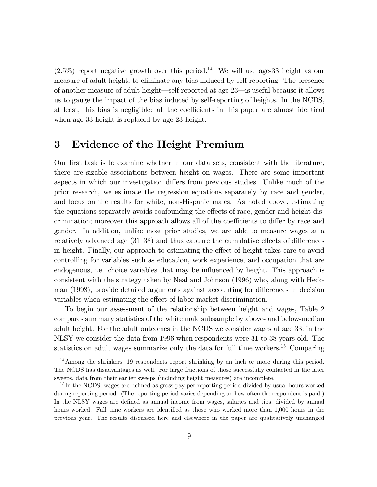$(2.5\%)$  report negative growth over this period.<sup>14</sup> We will use age-33 height as our measure of adult height, to eliminate any bias induced by self-reporting. The presence of another measure of adult height—self-reported at age  $23$ —is useful because it allows us to gauge the impact of the bias induced by self-reporting of heights. In the NCDS, at least, this bias is negligible: all the coefficients in this paper are almost identical when age-33 height is replaced by age-23 height.

### 3 Evidence of the Height Premium

Our first task is to examine whether in our data sets, consistent with the literature, there are sizable associations between height on wages. There are some important aspects in which our investigation differs from previous studies. Unlike much of the prior research, we estimate the regression equations separately by race and gender, and focus on the results for white, non-Hispanic males. As noted above, estimating the equations separately avoids confounding the effects of race, gender and height discrimination; moreover this approach allows all of the coefficients to differ by race and gender. In addition, unlike most prior studies, we are able to measure wages at a relatively advanced age  $(31–38)$  and thus capture the cumulative effects of differences in height. Finally, our approach to estimating the effect of height takes care to avoid controlling for variables such as education, work experience, and occupation that are endogenous, i.e. choice variables that may be influenced by height. This approach is consistent with the strategy taken by Neal and Johnson (1996) who, along with Heckman (1998), provide detailed arguments against accounting for differences in decision variables when estimating the effect of labor market discrimination.

To begin our assessment of the relationship between height and wages, Table 2 compares summary statistics of the white male subsample by above- and below-median adult height. For the adult outcomes in the NCDS we consider wages at age 33; in the NLSY we consider the data from 1996 when respondents were 31 to 38 years old. The statistics on adult wages summarize only the data for full time workers.<sup>15</sup> Comparing

<sup>&</sup>lt;sup>14</sup>Among the shrinkers, 19 respondents report shrinking by an inch or more during this period. The NCDS has disadvantages as well. For large fractions of those successfully contacted in the later sweeps, data from their earlier sweeps (including height measures) are incomplete.

 $15$  In the NCDS, wages are defined as gross pay per reporting period divided by usual hours worked during reporting period. (The reporting period varies depending on how often the respondent is paid.) In the NLSY wages are defined as annual income from wages, salaries and tips, divided by annual hours worked. Full time workers are identified as those who worked more than 1,000 hours in the previous year. The results discussed here and elsewhere in the paper are qualitatively unchanged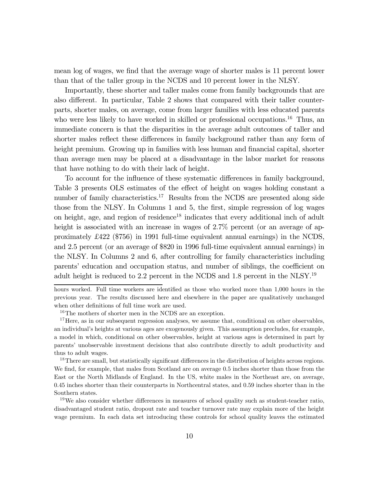mean log of wages, we find that the average wage of shorter males is 11 percent lower than that of the taller group in the NCDS and 10 percent lower in the NLSY.

Importantly, these shorter and taller males come from family backgrounds that are also different. In particular, Table 2 shows that compared with their taller counterparts, shorter males, on average, come from larger families with less educated parents who were less likely to have worked in skilled or professional occupations.<sup>16</sup> Thus, an immediate concern is that the disparities in the average adult outcomes of taller and shorter males reflect these differences in family background rather than any form of height premium. Growing up in families with less human and financial capital, shorter than average men may be placed at a disadvantage in the labor market for reasons that have nothing to do with their lack of height.

To account for the influence of these systematic differences in family background, Table 3 presents OLS estimates of the effect of height on wages holding constant a number of family characteristics.<sup>17</sup> Results from the NCDS are presented along side those from the NLSY. In Columns 1 and 5, the first, simple regression of log wages on height, age, and region of residence<sup>18</sup> indicates that every additional inch of adult height is associated with an increase in wages of 2.7% percent (or an average of approximately £422 (\$756) in 1991 full-time equivalent annual earnings) in the NCDS, and 2.5 percent (or an average of \$820 in 1996 full-time equivalent annual earnings) in the NLSY. In Columns 2 and 6, after controlling for family characteristics including parents' education and occupation status, and number of siblings, the coefficient on adult height is reduced to 2.2 percent in the NCDS and 1.8 percent in the NLSY.19

<sup>18</sup>There are small, but statistically significant differences in the distribution of heights across regions. We find, for example, that males from Scotland are on average 0.5 inches shorter than those from the East or the North Midlands of England. In the US, white males in the Northeast are, on average, 0.45 inches shorter than their counterparts in Northcentral states, and 0.59 inches shorter than in the Southern states.

hours worked. Full time workers are identified as those who worked more than 1,000 hours in the previous year. The results discussed here and elsewhere in the paper are qualitatively unchanged when other definitions of full time work are used.

<sup>&</sup>lt;sup>16</sup>The mothers of shorter men in the NCDS are an exception.

 $17$  Here, as in our subsequent regression analyses, we assume that, conditional on other observables, an individual's heights at various ages are exogenously given. This assumption precludes, for example, a model in which, conditional on other observables, height at various ages is determined in part by parents' unobservable investment decisions that also contribute directly to adult productivity and thus to adult wages.

 $19\,\text{We also consider whether differences in measures of school quality such as student-teacher ratio,}$ disadvantaged student ratio, dropout rate and teacher turnover rate may explain more of the height wage premium. In each data set introducing these controls for school quality leaves the estimated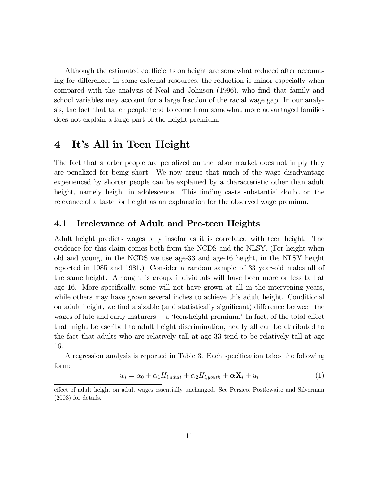Although the estimated coefficients on height are somewhat reduced after accounting for differences in some external resources, the reduction is minor especially when compared with the analysis of Neal and Johnson (1996), who find that family and school variables may account for a large fraction of the racial wage gap. In our analysis, the fact that taller people tend to come from somewhat more advantaged families does not explain a large part of the height premium.

# 4 It's All in Teen Height

The fact that shorter people are penalized on the labor market does not imply they are penalized for being short. We now argue that much of the wage disadvantage experienced by shorter people can be explained by a characteristic other than adult height, namely height in adolescence. This finding casts substantial doubt on the relevance of a taste for height as an explanation for the observed wage premium.

### 4.1 Irrelevance of Adult and Pre-teen Heights

Adult height predicts wages only insofar as it is correlated with teen height. The evidence for this claim comes both from the NCDS and the NLSY. (For height when old and young, in the NCDS we use age-33 and age-16 height, in the NLSY height reported in 1985 and 1981.) Consider a random sample of 33 year-old males all of the same height. Among this group, individuals will have been more or less tall at age 16. More specifically, some will not have grown at all in the intervening years, while others may have grown several inches to achieve this adult height. Conditional on adult height, we find a sizable (and statistically significant) difference between the wages of late and early maturers– a 'teen-height premium.' In fact, of the total effect that might be ascribed to adult height discrimination, nearly all can be attributed to the fact that adults who are relatively tall at age 33 tend to be relatively tall at age 16.

A regression analysis is reported in Table 3. Each specification takes the following form:

$$
w_i = \alpha_0 + \alpha_1 H_{i,adult} + \alpha_2 H_{i, youth} + \alpha \mathbf{X}_i + u_i \tag{1}
$$

effect of adult height on adult wages essentially unchanged. See Persico, Postlewaite and Silverman (2003) for details.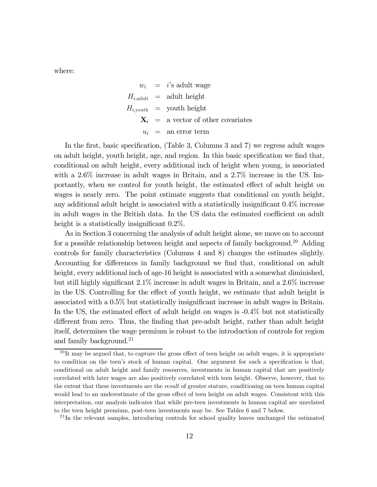where:

 $w_i$  = i's adult wage  $H_{i,\text{adult}} = \text{adult height}$  $H_{i,\text{vouth}} = \text{youth height}$  $\mathbf{X}_i$  = a vector of other covariates  $u_i$  = an error term

In the first, basic specification, (Table 3, Columns 3 and 7) we regress adult wages on adult height, youth height, age, and region. In this basic specification we find that, conditional on adult height, every additional inch of height when young, is associated with a 2.6% increase in adult wages in Britain, and a 2.7% increase in the US. Importantly, when we control for youth height, the estimated effect of adult height on wages is nearly zero. The point estimate suggests that conditional on youth height, any additional adult height is associated with a statistically insignificant 0.4% increase in adult wages in the British data. In the US data the estimated coefficient on adult height is a statistically insignificant 0.2%.

As in Section 3 concerning the analysis of adult height alone, we move on to account for a possible relationship between height and aspects of family background.<sup>20</sup> Adding controls for family characteristics (Columns 4 and 8) changes the estimates slightly. Accounting for differences in family background we find that, conditional on adult height, every additional inch of age-16 height is associated with a somewhat diminished, but still highly significant 2.1% increase in adult wages in Britain, and a 2.6% increase in the US. Controlling for the effect of youth height, we estimate that adult height is associated with a 0.5% but statistically insignificant increase in adult wages in Britain. In the US, the estimated effect of adult height on wages is -0.4% but not statistically different from zero. Thus, the finding that pre-adult height, rather than adult height itself, determines the wage premium is robust to the introduction of controls for region and family background.<sup>21</sup>

<sup>21</sup>In the relevant samples, introducing controls for school quality leaves unchanged the estimated

 $^{20}$ It may be argued that, to capture the gross effect of teen height on adult wages, it is appropriate to condition on the teen's stock of human capital. One argument for such a specification is that, conditional on adult height and family resources, investments in human capital that are positively correlated with later wages are also positively correlated with teen height. Observe, however, that to the extent that these investments are the *result* of greater stature, conditioning on teen human capital would lead to an underestimate of the gross effect of teen height on adult wages. Consistent with this interpretation, our analysis indicates that while pre-teen investments in human capital are unrelated to the teen height premium, post-teen investments may be. See Tables 6 and 7 below.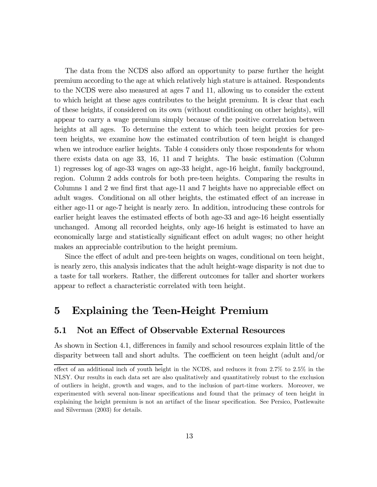The data from the NCDS also afford an opportunity to parse further the height premium according to the age at which relatively high stature is attained. Respondents to the NCDS were also measured at ages 7 and 11, allowing us to consider the extent to which height at these ages contributes to the height premium. It is clear that each of these heights, if considered on its own (without conditioning on other heights), will appear to carry a wage premium simply because of the positive correlation between heights at all ages. To determine the extent to which teen height proxies for preteen heights, we examine how the estimated contribution of teen height is changed when we introduce earlier heights. Table 4 considers only those respondents for whom there exists data on age 33, 16, 11 and 7 heights. The basic estimation (Column 1) regresses log of age-33 wages on age-33 height, age-16 height, family background, region. Column 2 adds controls for both pre-teen heights. Comparing the results in Columns 1 and 2 we find first that age-11 and 7 heights have no appreciable effect on adult wages. Conditional on all other heights, the estimated effect of an increase in either age-11 or age-7 height is nearly zero. In addition, introducing these controls for earlier height leaves the estimated effects of both age-33 and age-16 height essentially unchanged. Among all recorded heights, only age-16 height is estimated to have an economically large and statistically significant effect on adult wages; no other height makes an appreciable contribution to the height premium.

Since the effect of adult and pre-teen heights on wages, conditional on teen height, is nearly zero, this analysis indicates that the adult height-wage disparity is not due to a taste for tall workers. Rather, the different outcomes for taller and shorter workers appear to reflect a characteristic correlated with teen height.

### 5 Explaining the Teen-Height Premium

### 5.1 Not an Effect of Observable External Resources

As shown in Section 4.1, differences in family and school resources explain little of the disparity between tall and short adults. The coefficient on teen height (adult and/or

effect of an additional inch of youth height in the NCDS, and reduces it from 2.7% to 2.5% in the NLSY. Our results in each data set are also qualitatively and quantitatively robust to the exclusion of outliers in height, growth and wages, and to the inclusion of part-time workers. Moreover, we experimented with several non-linear specifications and found that the primacy of teen height in explaining the height premium is not an artifact of the linear specification. See Persico, Postlewaite and Silverman (2003) for details.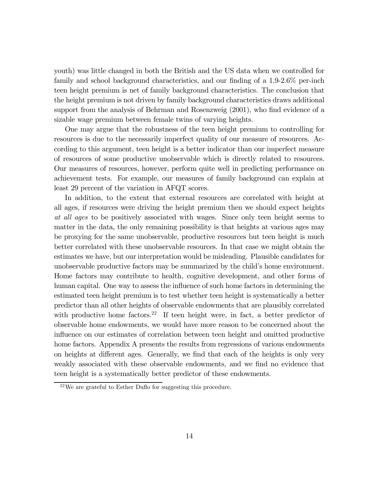youth) was little changed in both the British and the US data when we controlled for family and school background characteristics, and our finding of a 1.9-2.6% per-inch teen height premium is net of family background characteristics. The conclusion that the height premium is not driven by family background characteristics draws additional support from the analysis of Behrman and Rosenzweig (2001), who find evidence of a sizable wage premium between female twins of varying heights.

One may argue that the robustness of the teen height premium to controlling for resources is due to the necessarily imperfect quality of our measure of resources. According to this argument, teen height is a better indicator than our imperfect measure of resources of some productive unobservable which is directly related to resources. Our measures of resources, however, perform quite well in predicting performance on achievement tests. For example, our measures of family background can explain at least 29 percent of the variation in AFQT scores.

In addition, to the extent that external resources are correlated with height at all ages, if resources were driving the height premium then we should expect heights at all ages to be positively associated with wages. Since only teen height seems to matter in the data, the only remaining possibility is that heights at various ages may be proxying for the same unobservable, productive resources but teen height is much better correlated with these unobservable resources. In that case we might obtain the estimates we have, but our interpretation would be misleading. Plausible candidates for unobservable productive factors may be summarized by the child's home environment. Home factors may contribute to health, cognitive development, and other forms of human capital. One way to assess the influence of such home factors in determining the estimated teen height premium is to test whether teen height is systematically a better predictor than all other heights of observable endowments that are plausibly correlated with productive home factors.<sup>22</sup> If teen height were, in fact, a better predictor of observable home endowments, we would have more reason to be concerned about the influence on our estimates of correlation between teen height and omitted productive home factors. Appendix A presents the results from regressions of various endowments on heights at different ages. Generally, we find that each of the heights is only very weakly associated with these observable endowments, and we find no evidence that teen height is a systematically better predictor of these endowments.

 $^{22}$ We are grateful to Esther Duflo for suggesting this procedure.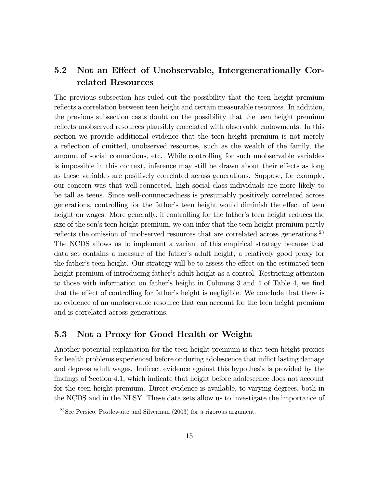### 5.2 Not an Effect of Unobservable, Intergenerationally Correlated Resources

The previous subsection has ruled out the possibility that the teen height premium reflects a correlation between teen height and certain measurable resources. In addition, the previous subsection casts doubt on the possibility that the teen height premium reflects unobserved resources plausibly correlated with observable endowments. In this section we provide additional evidence that the teen height premium is not merely a reflection of omitted, unobserved resources, such as the wealth of the family, the amount of social connections, etc. While controlling for such unobservable variables is impossible in this context, inference may still be drawn about their effects as long as these variables are positively correlated across generations. Suppose, for example, our concern was that well-connected, high social class individuals are more likely to be tall as teens. Since well-connnectedness is presumably positively correlated across generations, controlling for the father's teen height would diminish the effect of teen height on wages. More generally, if controlling for the father's teen height reduces the size of the son's teen height premium, we can infer that the teen height premium partly reflects the omission of unobserved resources that are correlated across generations.<sup>23</sup> The NCDS allows us to implement a variant of this empirical strategy because that data set contains a measure of the father's adult height, a relatively good proxy for the father's teen height. Our strategy will be to assess the effect on the estimated teen height premium of introducing father's adult height as a control. Restricting attention to those with information on father's height in Columns 3 and 4 of Table 4, we find that the effect of controlling for father's height is negligible. We conclude that there is no evidence of an unobservable resource that can account for the teen height premium and is correlated across generations.

### 5.3 Not a Proxy for Good Health or Weight

Another potential explanation for the teen height premium is that teen height proxies for health problems experienced before or during adolescence that inflict lasting damage and depress adult wages. Indirect evidence against this hypothesis is provided by the findings of Section 4.1, which indicate that height before adolescence does not account for the teen height premium. Direct evidence is available, to varying degrees, both in the NCDS and in the NLSY. These data sets allow us to investigate the importance of

<sup>23</sup>See Persico, Postlewaite and Silverman (2003) for a rigorous argument.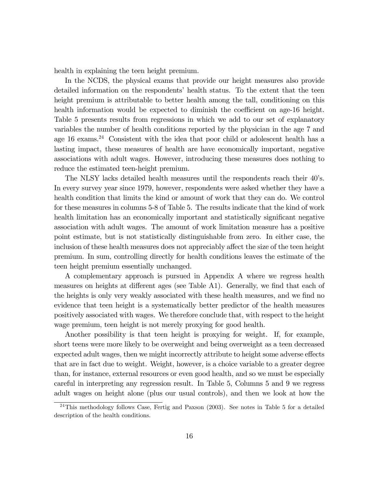health in explaining the teen height premium.

In the NCDS, the physical exams that provide our height measures also provide detailed information on the respondents' health status. To the extent that the teen height premium is attributable to better health among the tall, conditioning on this health information would be expected to diminish the coefficient on age-16 height. Table 5 presents results from regressions in which we add to our set of explanatory variables the number of health conditions reported by the physician in the age 7 and age  $16$  exams.<sup>24</sup> Consistent with the idea that poor child or adolescent health has a lasting impact, these measures of health are have economically important, negative associations with adult wages. However, introducing these measures does nothing to reduce the estimated teen-height premium.

The NLSY lacks detailed health measures until the respondents reach their 40's. In every survey year since 1979, however, respondents were asked whether they have a health condition that limits the kind or amount of work that they can do. We control for these measures in columns 5-8 of Table 5. The results indicate that the kind of work health limitation has an economically important and statistically significant negative association with adult wages. The amount of work limitation measure has a positive point estimate, but is not statistically distinguishable from zero. In either case, the inclusion of these health measures does not appreciably affect the size of the teen height premium. In sum, controlling directly for health conditions leaves the estimate of the teen height premium essentially unchanged.

A complementary approach is pursued in Appendix A where we regress health measures on heights at different ages (see Table A1). Generally, we find that each of the heights is only very weakly associated with these health measures, and we find no evidence that teen height is a systematically better predictor of the health measures positively associated with wages. We therefore conclude that, with respect to the height wage premium, teen height is not merely proxying for good health.

Another possibility is that teen height is proxying for weight. If, for example, short teens were more likely to be overweight and being overweight as a teen decreased expected adult wages, then we might incorrectly attribute to height some adverse effects that are in fact due to weight. Weight, however, is a choice variable to a greater degree than, for instance, external resources or even good health, and so we must be especially careful in interpreting any regression result. In Table 5, Columns 5 and 9 we regress adult wages on height alone (plus our usual controls), and then we look at how the

 $^{24}$ This methodology follows Case, Fertig and Paxson (2003). See notes in Table 5 for a detailed description of the health conditions.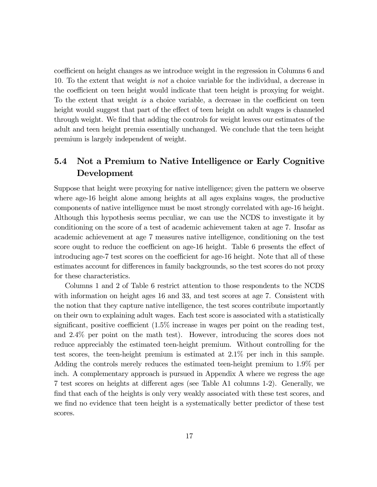coefficient on height changes as we introduce weight in the regression in Columns 6 and 10. To the extent that weight is not a choice variable for the individual, a decrease in the coefficient on teen height would indicate that teen height is proxying for weight. To the extent that weight is a choice variable, a decrease in the coefficient on teen height would suggest that part of the effect of teen height on adult wages is channeled through weight. We find that adding the controls for weight leaves our estimates of the adult and teen height premia essentially unchanged. We conclude that the teen height premium is largely independent of weight.

### 5.4 Not a Premium to Native Intelligence or Early Cognitive Development

Suppose that height were proxying for native intelligence; given the pattern we observe where age-16 height alone among heights at all ages explains wages, the productive components of native intelligence must be most strongly correlated with age-16 height. Although this hypothesis seems peculiar, we can use the NCDS to investigate it by conditioning on the score of a test of academic achievement taken at age 7. Insofar as academic achievement at age 7 measures native intelligence, conditioning on the test score ought to reduce the coefficient on age-16 height. Table 6 presents the effect of introducing age-7 test scores on the coefficient for age-16 height. Note that all of these estimates account for differences in family backgrounds, so the test scores do not proxy for these characteristics.

Columns 1 and 2 of Table 6 restrict attention to those respondents to the NCDS with information on height ages 16 and 33, and test scores at age 7. Consistent with the notion that they capture native intelligence, the test scores contribute importantly on their own to explaining adult wages. Each test score is associated with a statistically significant, positive coefficient (1.5% increase in wages per point on the reading test, and 2.4% per point on the math test). However, introducing the scores does not reduce appreciably the estimated teen-height premium. Without controlling for the test scores, the teen-height premium is estimated at 2.1% per inch in this sample. Adding the controls merely reduces the estimated teen-height premium to 1.9% per inch. A complementary approach is pursued in Appendix A where we regress the age 7 test scores on heights at different ages (see Table A1 columns 1-2). Generally, we find that each of the heights is only very weakly associated with these test scores, and we find no evidence that teen height is a systematically better predictor of these test scores.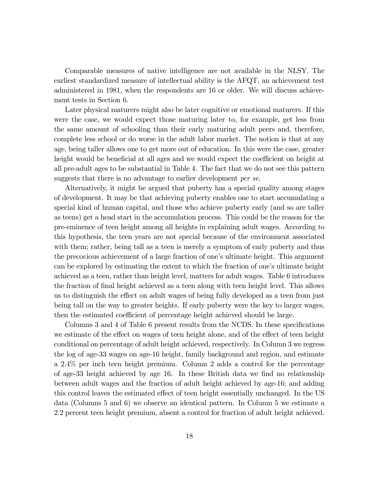Comparable measures of native intelligence are not available in the NLSY. The earliest standardized measure of intellectual ability is the AFQT, an achievement test administered in 1981, when the respondents are 16 or older. We will discuss achievement tests in Section 6.

Later physical maturers might also be later cognitive or emotional maturers. If this were the case, we would expect those maturing later to, for example, get less from the same amount of schooling than their early maturing adult peers and, therefore, complete less school or do worse in the adult labor market. The notion is that at any age, being taller allows one to get more out of education. In this were the case, greater height would be beneficial at all ages and we would expect the coefficient on height at all pre-adult ages to be substantial in Table 4. The fact that we do not see this pattern suggests that there is no advantage to earlier development *per se*.

Alternatively, it might be argued that puberty has a special quality among stages of development. It may be that achieving puberty enables one to start accumulating a special kind of human capital, and those who achieve puberty early (and so are taller as teens) get a head start in the accumulation process. This could be the reason for the pre-eminence of teen height among all heights in explaining adult wages. According to this hypothesis, the teen years are not special because of the environment associated with them; rather, being tall as a teen is merely a symptom of early puberty and thus the precocious achievement of a large fraction of one's ultimate height. This argument can be explored by estimating the extent to which the fraction of one's ultimate height achieved as a teen, rather than height level, matters for adult wages. Table 6 introduces the fraction of final height achieved as a teen along with teen height level. This allows us to distinguish the effect on adult wages of being fully developed as a teen from just being tall on the way to greater heights. If early puberty were the key to larger wages, then the estimated coefficient of percentage height achieved should be large.

Columns 3 and 4 of Table 6 present results from the NCDS. In these specifications we estimate of the effect on wages of teen height alone, and of the effect of teen height conditional on percentage of adult height achieved, respectively. In Column 3 we regress the log of age-33 wages on age-16 height, family background and region, and estimate a 2.4% per inch teen height premium. Column 2 adds a control for the percentage of age-33 height achieved by age 16. In these British data we find no relationship between adult wages and the fraction of adult height achieved by age-16; and adding this control leaves the estimated effect of teen height essentially unchanged. In the US data (Columns 5 and 6) we observe an identical pattern. In Column 5 we estimate a 2.2 percent teen height premium, absent a control for fraction of adult height achieved.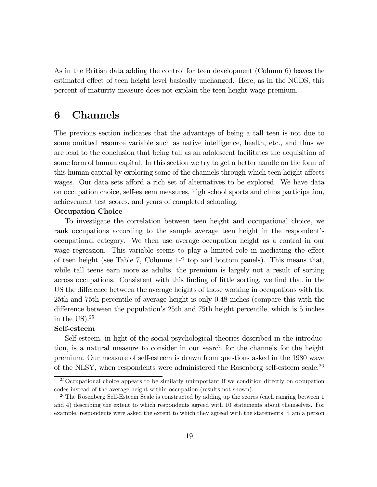As in the British data adding the control for teen development (Column 6) leaves the estimated effect of teen height level basically unchanged. Here, as in the NCDS, this percent of maturity measure does not explain the teen height wage premium.

### 6 Channels

The previous section indicates that the advantage of being a tall teen is not due to some omitted resource variable such as native intelligence, health, etc., and thus we are lead to the conclusion that being tall as an adolescent facilitates the acquisition of some form of human capital. In this section we try to get a better handle on the form of this human capital by exploring some of the channels through which teen height affects wages. Our data sets afford a rich set of alternatives to be explored. We have data on occupation choice, self-esteem measures, high school sports and clubs participation, achievement test scores, and years of completed schooling.

#### Occupation Choice

To investigate the correlation between teen height and occupational choice, we rank occupations according to the sample average teen height in the respondent's occupational category. We then use average occupation height as a control in our wage regression. This variable seems to play a limited role in mediating the effect of teen height (see Table 7, Columns 1-2 top and bottom panels). This means that, while tall teens earn more as adults, the premium is largely not a result of sorting across occupations. Consistent with this finding of little sorting, we find that in the US the difference between the average heights of those working in occupations with the 25th and 75th percentile of average height is only 0.48 inches (compare this with the difference between the population's 25th and 75th height percentile, which is 5 inches in the US.<sup>25</sup>

#### Self-esteem

Self-esteem, in light of the social-psychological theories described in the introduction, is a natural measure to consider in our search for the channels for the height premium. Our measure of self-esteem is drawn from questions asked in the 1980 wave of the NLSY, when respondents were administered the Rosenberg self-esteem scale.<sup>26</sup>

<sup>&</sup>lt;sup>25</sup> Occupational choice appears to be similarly unimportant if we condition directly on occupation codes instead of the average height within occupation (results not shown).

 $^{26}$ The Rosenberg Self-Esteem Scale is constructed by adding up the scores (each ranging between 1) and 4) describing the extent to which respondents agreed with 10 statements about themselves. For example, respondents were asked the extent to which they agreed with the statements "I am a person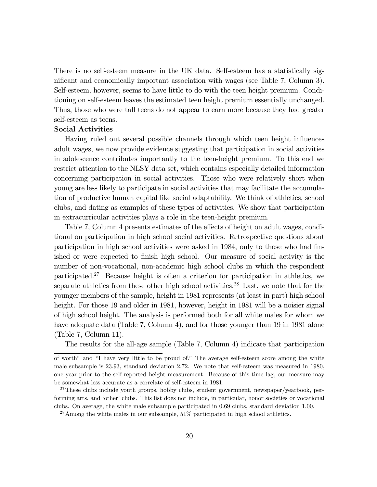There is no self-esteem measure in the UK data. Self-esteem has a statistically significant and economically important association with wages (see Table 7, Column 3). Self-esteem, however, seems to have little to do with the teen height premium. Conditioning on self-esteem leaves the estimated teen height premium essentially unchanged. Thus, those who were tall teens do not appear to earn more because they had greater self-esteem as teens.

#### Social Activities

Having ruled out several possible channels through which teen height influences adult wages, we now provide evidence suggesting that participation in social activities in adolescence contributes importantly to the teen-height premium. To this end we restrict attention to the NLSY data set, which contains especially detailed information concerning participation in social activities. Those who were relatively short when young are less likely to participate in social activities that may facilitate the accumulation of productive human capital like social adaptability. We think of athletics, school clubs, and dating as examples of these types of activities. We show that participation in extracurricular activities plays a role in the teen-height premium.

Table 7, Column 4 presents estimates of the effects of height on adult wages, conditional on participation in high school social activities. Retrospective questions about participation in high school activities were asked in 1984, only to those who had finished or were expected to finish high school. Our measure of social activity is the number of non-vocational, non-academic high school clubs in which the respondent participated.27 Because height is often a criterion for participation in athletics, we separate athletics from these other high school activities.<sup>28</sup> Last, we note that for the younger members of the sample, height in 1981 represents (at least in part) high school height. For those 19 and older in 1981, however, height in 1981 will be a noisier signal of high school height. The analysis is performed both for all white males for whom we have adequate data (Table 7, Column 4), and for those younger than 19 in 1981 alone (Table 7, Column 11).

The results for the all-age sample (Table 7, Column 4) indicate that participation

of worth" and "I have very little to be proud of." The average self-esteem score among the white male subsample is 23.93, standard deviation 2.72. We note that self-esteem was measured in 1980, one year prior to the self-reported height measurement. Because of this time lag, our measure may be somewhat less accurate as a correlate of self-esteem in 1981.

<sup>&</sup>lt;sup>27</sup>These clubs include youth groups, hobby clubs, student government, newspaper/yearbook, performing arts, and 'other' clubs. This list does not include, in particular, honor societies or vocational clubs. On average, the white male subsample participated in 0.69 clubs, standard deviation 1.00.

<sup>28</sup>Among the white males in our subsample, 51% participated in high school athletics.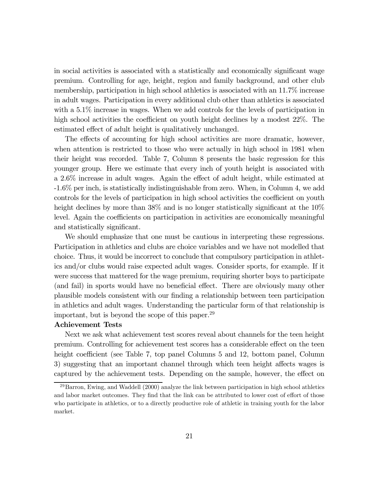in social activities is associated with a statistically and economically significant wage premium. Controlling for age, height, region and family background, and other club membership, participation in high school athletics is associated with an 11.7% increase in adult wages. Participation in every additional club other than athletics is associated with a 5.1% increase in wages. When we add controls for the levels of participation in high school activities the coefficient on youth height declines by a modest 22%. The estimated effect of adult height is qualitatively unchanged.

The effects of accounting for high school activities are more dramatic, however, when attention is restricted to those who were actually in high school in 1981 when their height was recorded. Table 7, Column 8 presents the basic regression for this younger group. Here we estimate that every inch of youth height is associated with a 2.6% increase in adult wages. Again the effect of adult height, while estimated at -1.6% per inch, is statistically indistinguishable from zero. When, in Column 4, we add controls for the levels of participation in high school activities the coefficient on youth height declines by more than 38% and is no longer statistically significant at the 10% level. Again the coefficients on participation in activities are economically meaningful and statistically significant.

We should emphasize that one must be cautious in interpreting these regressions. Participation in athletics and clubs are choice variables and we have not modelled that choice. Thus, it would be incorrect to conclude that compulsory participation in athletics and/or clubs would raise expected adult wages. Consider sports, for example. If it were success that mattered for the wage premium, requiring shorter boys to participate (and fail) in sports would have no beneficial effect. There are obviously many other plausible models consistent with our finding a relationship between teen participation in athletics and adult wages. Understanding the particular form of that relationship is important, but is beyond the scope of this paper.<sup>29</sup>

#### Achievement Tests

Next we ask what achievement test scores reveal about channels for the teen height premium. Controlling for achievement test scores has a considerable effect on the teen height coefficient (see Table 7, top panel Columns 5 and 12, bottom panel, Column 3) suggesting that an important channel through which teen height affects wages is captured by the achievement tests. Depending on the sample, however, the effect on

 $^{29}$ Barron, Ewing, and Waddell (2000) analyze the link between participation in high school athletics and labor market outcomes. They find that the link can be attributed to lower cost of effort of those who participate in athletics, or to a directly productive role of athletic in training youth for the labor market.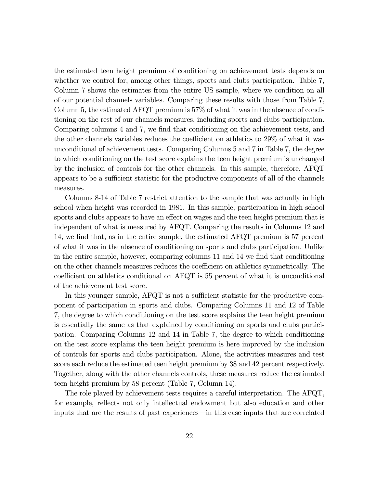the estimated teen height premium of conditioning on achievement tests depends on whether we control for, among other things, sports and clubs participation. Table 7, Column 7 shows the estimates from the entire US sample, where we condition on all of our potential channels variables. Comparing these results with those from Table 7, Column 5, the estimated AFQT premium is 57% of what it was in the absence of conditioning on the rest of our channels measures, including sports and clubs participation. Comparing columns 4 and 7, we find that conditioning on the achievement tests, and the other channels variables reduces the coefficient on athletics to 29% of what it was unconditional of achievement tests. Comparing Columns 5 and 7 in Table 7, the degree to which conditioning on the test score explains the teen height premium is unchanged by the inclusion of controls for the other channels. In this sample, therefore, AFQT appears to be a sufficient statistic for the productive components of all of the channels measures.

Columns 8-14 of Table 7 restrict attention to the sample that was actually in high school when height was recorded in 1981. In this sample, participation in high school sports and clubs appears to have an effect on wages and the teen height premium that is independent of what is measured by AFQT. Comparing the results in Columns 12 and 14, we find that, as in the entire sample, the estimated AFQT premium is 57 percent of what it was in the absence of conditioning on sports and clubs participation. Unlike in the entire sample, however, comparing columns 11 and 14 we find that conditioning on the other channels measures reduces the coefficient on athletics symmetrically. The coefficient on athletics conditional on AFQT is 55 percent of what it is unconditional of the achievement test score.

In this younger sample, AFQT is not a sufficient statistic for the productive component of participation in sports and clubs. Comparing Columns 11 and 12 of Table 7, the degree to which conditioning on the test score explains the teen height premium is essentially the same as that explained by conditioning on sports and clubs participation. Comparing Columns 12 and 14 in Table 7, the degree to which conditioning on the test score explains the teen height premium is here improved by the inclusion of controls for sports and clubs participation. Alone, the activities measures and test score each reduce the estimated teen height premium by 38 and 42 percent respectively. Together, along with the other channels controls, these measures reduce the estimated teen height premium by 58 percent (Table 7, Column 14).

The role played by achievement tests requires a careful interpretation. The AFQT, for example, reflects not only intellectual endowment but also education and other inputs that are the results of past experiences–in this case inputs that are correlated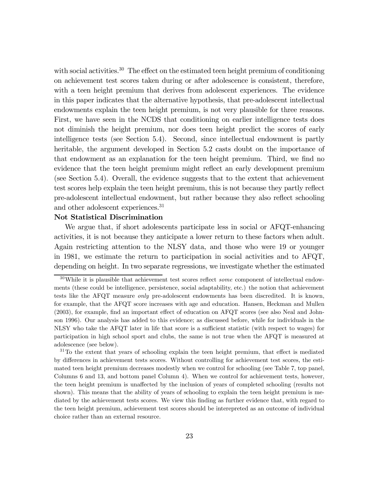with social activities.<sup>30</sup> The effect on the estimated teen height premium of conditioning on achievement test scores taken during or after adolescence is consistent, therefore, with a teen height premium that derives from adolescent experiences. The evidence in this paper indicates that the alternative hypothesis, that pre-adolescent intellectual endowments explain the teen height premium, is not very plausible for three reasons. First, we have seen in the NCDS that conditioning on earlier intelligence tests does not diminish the height premium, nor does teen height predict the scores of early intelligence tests (see Section 5.4). Second, since intellectual endowment is partly heritable, the argument developed in Section 5.2 casts doubt on the importance of that endowment as an explanation for the teen height premium. Third, we find no evidence that the teen height premium might reflect an early development premium (see Section 5.4). Overall, the evidence suggests that to the extent that achievement test scores help explain the teen height premium, this is not because they partly reflect pre-adolescent intellectual endowment, but rather because they also reflect schooling and other adolescent experiences.31

#### Not Statistical Discrimination

We argue that, if short adolescents participate less in social or AFQT-enhancing activities, it is not because they anticipate a lower return to these factors when adult. Again restricting attention to the NLSY data, and those who were 19 or younger in 1981, we estimate the return to participation in social activities and to AFQT, depending on height. In two separate regressions, we investigate whether the estimated

<sup>31</sup>To the extent that years of schooling explain the teen height premium, that effect is mediated by differences in achievement tests scores. Without controlling for achievement test scores, the estimated teen height premium decreases modestly when we control for schooling (see Table 7, top panel, Columns 6 and 13, and bottom panel Column 4). When we control for achievement tests, however, the teen height premium is unaffected by the inclusion of years of completed schooling (results not shown). This means that the ability of years of schooling to explain the teen height premium is mediated by the achievement tests scores. We view this finding as further evidence that, with regard to the teen height premium, achievement test scores should be interepreted as an outcome of individual choice rather than an external resource.

 $30$ While it is plausible that achievement test scores reflect some component of intellectual endowments (these could be intelligence, persistence, social adaptability, etc.) the notion that achievement tests like the AFQT measure *only* pre-adolescent endowments has been discredited. It is known, for example, that the AFQT score increases with age and education. Hansen, Heckman and Mullen (2003), for example, find an important effect of education on AFQT scores (see also Neal and Johnson 1996). Our analysis has added to this evidence; as discussed before, while for individuals in the NLSY who take the AFQT later in life that score is a sufficient statistic (with respect to wages) for participation in high school sport and clubs, the same is not true when the AFQT is measured at adolescence (see below).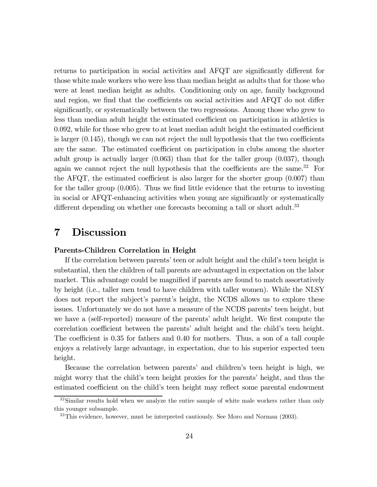returns to participation in social activities and AFQT are significantly different for those white male workers who were less than median height as adults that for those who were at least median height as adults. Conditioning only on age, family background and region, we find that the coefficients on social activities and AFQT do not differ significantly, or systematically between the two regressions. Among those who grew to less than median adult height the estimated coefficient on participation in athletics is 0.092, while for those who grew to at least median adult height the estimated coefficient is larger  $(0.145)$ , though we can not reject the null hypothesis that the two coefficients are the same. The estimated coefficient on participation in clubs among the shorter adult group is actually larger (0.063) than that for the taller group (0.037), though again we cannot reject the null hypothesis that the coefficients are the same.<sup>32</sup> For the AFQT, the estimated coefficient is also larger for the shorter group (0.007) than for the taller group (0.005). Thus we find little evidence that the returns to investing in social or AFQT-enhancing activities when young are significantly or systematically different depending on whether one forecasts becoming a tall or short adult.<sup>33</sup>

### 7 Discussion

#### Parents-Children Correlation in Height

If the correlation between parents' teen or adult height and the child's teen height is substantial, then the children of tall parents are advantaged in expectation on the labor market. This advantage could be magnified if parents are found to match assortatively by height (i.e., taller men tend to have children with taller women). While the NLSY does not report the subject's parent's height, the NCDS allows us to explore these issues. Unfortunately we do not have a measure of the NCDS parents' teen height, but we have a (self-reported) measure of the parents' adult height. We first compute the correlation coefficient between the parents' adult height and the child's teen height. The coefficient is 0.35 for fathers and 0.40 for mothers. Thus, a son of a tall couple enjoys a relatively large advantage, in expectation, due to his superior expected teen height.

Because the correlation between parents' and children's teen height is high, we might worry that the child's teen height proxies for the parents' height, and thus the estimated coefficient on the child's teen height may reflect some parental endowment

 $32$ Similar results hold when we analyze the entire sample of white male workers rather than only this younger subsample.

<sup>&</sup>lt;sup>33</sup>This evidence, however, must be interpreted cautiously. See Moro and Norman (2003).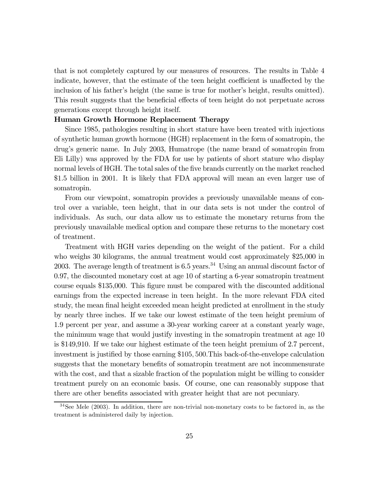that is not completely captured by our measures of resources. The results in Table 4 indicate, however, that the estimate of the teen height coefficient is unaffected by the inclusion of his father's height (the same is true for mother's height, results omitted). This result suggests that the beneficial effects of teen height do not perpetuate across generations except through height itself.

#### Human Growth Hormone Replacement Therapy

Since 1985, pathologies resulting in short stature have been treated with injections of synthetic human growth hormone (HGH) replacement in the form of somatropin, the drug's generic name. In July 2003, Humatrope (the name brand of somatropin from Eli Lilly) was approved by the FDA for use by patients of short stature who display normal levels of HGH. The total sales of the five brands currently on the market reached \$1.5 billion in 2001. It is likely that FDA approval will mean an even larger use of somatropin.

From our viewpoint, somatropin provides a previously unavailable means of control over a variable, teen height, that in our data sets is not under the control of individuals. As such, our data allow us to estimate the monetary returns from the previously unavailable medical option and compare these returns to the monetary cost of treatment.

Treatment with HGH varies depending on the weight of the patient. For a child who weighs 30 kilograms, the annual treatment would cost approximately \$25,000 in 2003. The average length of treatment is  $6.5$  years.<sup>34</sup> Using an annual discount factor of 0.97, the discounted monetary cost at age 10 of starting a 6-year somatropin treatment course equals \$135,000. This figure must be compared with the discounted additional earnings from the expected increase in teen height. In the more relevant FDA cited study, the mean final height exceeded mean height predicted at enrollment in the study by nearly three inches. If we take our lowest estimate of the teen height premium of 1.9 percent per year, and assume a 30-year working career at a constant yearly wage, the minimum wage that would justify investing in the somatropin treatment at age 10 is \$149,910. If we take our highest estimate of the teen height premium of 2.7 percent, investment is justified by those earning \$105, 500.This back-of-the-envelope calculation suggests that the monetary benefits of somatropin treatment are not incommensurate with the cost, and that a sizable fraction of the population might be willing to consider treatment purely on an economic basis. Of course, one can reasonably suppose that there are other benefits associated with greater height that are not pecuniary.

 $34$ See Mele (2003). In addition, there are non-trivial non-monetary costs to be factored in, as the treatment is administered daily by injection.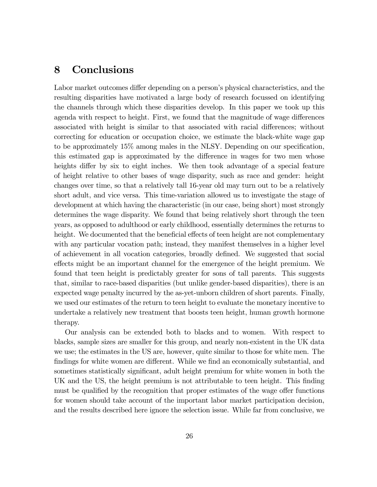## 8 Conclusions

Labor market outcomes differ depending on a person's physical characteristics, and the resulting disparities have motivated a large body of research focussed on identifying the channels through which these disparities develop. In this paper we took up this agenda with respect to height. First, we found that the magnitude of wage differences associated with height is similar to that associated with racial differences; without correcting for education or occupation choice, we estimate the black-white wage gap to be approximately 15% among males in the NLSY. Depending on our specification, this estimated gap is approximated by the difference in wages for two men whose heights differ by six to eight inches. We then took advantage of a special feature of height relative to other bases of wage disparity, such as race and gender: height changes over time, so that a relatively tall 16-year old may turn out to be a relatively short adult, and vice versa. This time-variation allowed us to investigate the stage of development at which having the characteristic (in our case, being short) most strongly determines the wage disparity. We found that being relatively short through the teen years, as opposed to adulthood or early childhood, essentially determines the returns to height. We documented that the beneficial effects of teen height are not complementary with any particular vocation path; instead, they manifest themselves in a higher level of achievement in all vocation categories, broadly defined. We suggested that social effects might be an important channel for the emergence of the height premium. We found that teen height is predictably greater for sons of tall parents. This suggests that, similar to race-based disparities (but unlike gender-based disparities), there is an expected wage penalty incurred by the as-yet-unborn children of short parents. Finally, we used our estimates of the return to teen height to evaluate the monetary incentive to undertake a relatively new treatment that boosts teen height, human growth hormone therapy.

Our analysis can be extended both to blacks and to women. With respect to blacks, sample sizes are smaller for this group, and nearly non-existent in the UK data we use; the estimates in the US are, however, quite similar to those for white men. The findings for white women are different. While we find an economically substantial, and sometimes statistically significant, adult height premium for white women in both the UK and the US, the height premium is not attributable to teen height. This finding must be qualified by the recognition that proper estimates of the wage offer functions for women should take account of the important labor market participation decision, and the results described here ignore the selection issue. While far from conclusive, we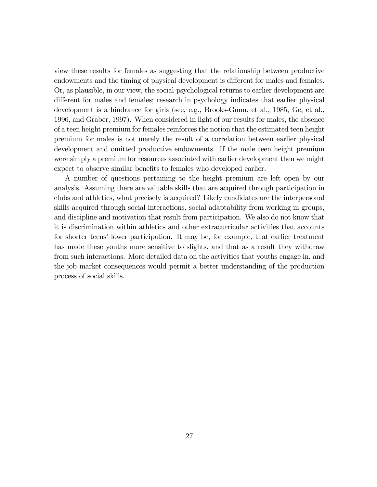view these results for females as suggesting that the relationship between productive endowments and the timing of physical development is different for males and females. Or, as plausible, in our view, the social-psychological returns to earlier development are different for males and females; research in psychology indicates that earlier physical development is a hindrance for girls (see, e.g., Brooks-Gunn, et al., 1985, Ge, et al., 1996, and Graber, 1997). When considered in light of our results for males, the absence of a teen height premium for females reinforces the notion that the estimated teen height premium for males is not merely the result of a correlation between earlier physical development and omitted productive endowments. If the male teen height premium were simply a premium for resources associated with earlier development then we might expect to observe similar benefits to females who developed earlier.

A number of questions pertaining to the height premium are left open by our analysis. Assuming there are valuable skills that are acquired through participation in clubs and athletics, what precisely is acquired? Likely candidates are the interpersonal skills acquired through social interactions, social adaptability from working in groups, and discipline and motivation that result from participation. We also do not know that it is discrimination within athletics and other extracurricular activities that accounts for shorter teens' lower participation. It may be, for example, that earlier treatment has made these youths more sensitive to slights, and that as a result they withdraw from such interactions. More detailed data on the activities that youths engage in, and the job market consequences would permit a better understanding of the production process of social skills.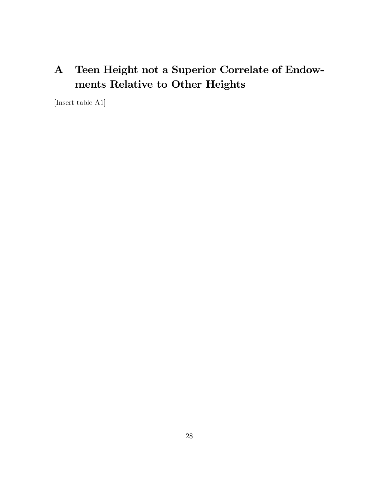# A Teen Height not a Superior Correlate of Endowments Relative to Other Heights

[Insert table A1]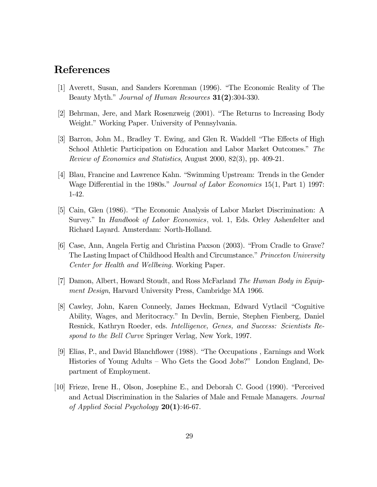## References

- [1] Averett, Susan, and Sanders Korenman (1996). "The Economic Reality of The Beauty Myth." *Journal of Human Resources* **31(2)**:304-330.
- [2] Behrman, Jere, and Mark Rosenzweig (2001). "The Returns to Increasing Body Weight." Working Paper. University of Pennsylvania.
- [3] Barron, John M., Bradley T. Ewing, and Glen R. Waddell "The Effects of High School Athletic Participation on Education and Labor Market Outcomes." The Review of Economics and Statistics, August 2000, 82(3), pp. 409-21.
- [4] Blau, Francine and Lawrence Kahn. "Swimming Upstream: Trends in the Gender Wage Differential in the 1980s." *Journal of Labor Economics* 15(1, Part 1) 1997: 1-42.
- [5] Cain, Glen (1986). "The Economic Analysis of Labor Market Discrimination: A Survey." In *Handbook of Labor Economics*, vol. 1, Eds. Orley Ashenfelter and Richard Layard. Amsterdam: North-Holland.
- [6] Case, Ann, Angela Fertig and Christina Paxson (2003). "From Cradle to Grave? The Lasting Impact of Childhood Health and Circumstance." Princeton University Center for Health and Wellbeing. Working Paper.
- [7] Damon, Albert, Howard Stoudt, and Ross McFarland The Human Body in Equipment Design, Harvard University Press, Cambridge MA 1966.
- [8] Cawley, John, Karen Conneely, James Heckman, Edward Vytlacil "Cognitive Ability, Wages, and Meritocracy." In Devlin, Bernie, Stephen Fienberg, Daniel Resnick, Kathryn Roeder, eds. Intelligence, Genes, and Success: Scientists Respond to the Bell Curve Springer Verlag, New York, 1997.
- [9] Elias, P., and David Blanchflower (1988). "The Occupations , Earnings and Work Histories of Young Adults — Who Gets the Good Jobs?" London England, Department of Employment.
- [10] Frieze, Irene H., Olson, Josephine E., and Deborah C. Good (1990). "Perceived and Actual Discrimination in the Salaries of Male and Female Managers. Journal of Applied Social Psychology  $20(1)$ :46-67.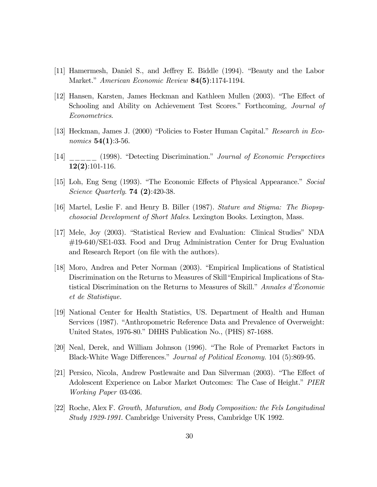- [11] Hamermesh, Daniel S., and Jeffrey E. Biddle (1994). "Beauty and the Labor Market." American Economic Review **84(5)**:1174-1194.
- [12] Hansen, Karsten, James Heckman and Kathleen Mullen (2003). "The Effect of Schooling and Ability on Achievement Test Scores." Forthcoming, *Journal of* Econometrics.
- [13] Heckman, James J. (2000) "Policies to Foster Human Capital." Research in Economics  $54(1):3-56$ .
- [14] \_\_\_\_\_ (1998). "Detecting Discrimination." Journal of Economic Perspectives 12(2):101-116.
- [15] Loh, Eng Seng (1993). "The Economic Effects of Physical Appearance." Social Science Quarterly. 74 (2):420-38.
- [16] Martel, Leslie F. and Henry B. Biller (1987). Stature and Stigma: The Biopsychosocial Development of Short Males. Lexington Books. Lexington, Mass.
- [17] Mele, Joy (2003). "Statistical Review and Evaluation: Clinical Studies" NDA #19-640/SE1-033. Food and Drug Administration Center for Drug Evaluation and Research Report (on file with the authors).
- [18] Moro, Andrea and Peter Norman (2003). "Empirical Implications of Statistical Discrimination on the Returns to Measures of Skill"Empirical Implications of Statistical Discrimination on the Returns to Measures of Skill." Annales d'Économie et de Statistique.
- [19] National Center for Health Statistics, US. Department of Health and Human Services (1987). "Anthropometric Reference Data and Prevalence of Overweight: United States, 1976-80." DHHS Publication No., (PHS) 87-1688.
- [20] Neal, Derek, and William Johnson (1996). "The Role of Premarket Factors in Black-White Wage Differences." Journal of Political Economy. 104 (5):869-95.
- [21] Persico, Nicola, Andrew Postlewaite and Dan Silverman (2003). "The Effect of Adolescent Experience on Labor Market Outcomes: The Case of Height." PIER Working Paper 03-036.
- [22] Roche, Alex F. Growth, Maturation, and Body Composition: the Fels Longitudinal Study 1929-1991. Cambridge University Press, Cambridge UK 1992.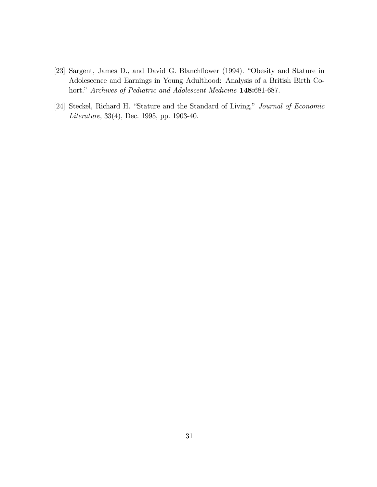- [23] Sargent, James D., and David G. Blanchflower (1994). "Obesity and Stature in Adolescence and Earnings in Young Adulthood: Analysis of a British Birth Cohort." Archives of Pediatric and Adolescent Medicine 148:681-687.
- [24] Steckel, Richard H. "Stature and the Standard of Living," Journal of Economic Literature, 33(4), Dec. 1995, pp. 1903-40.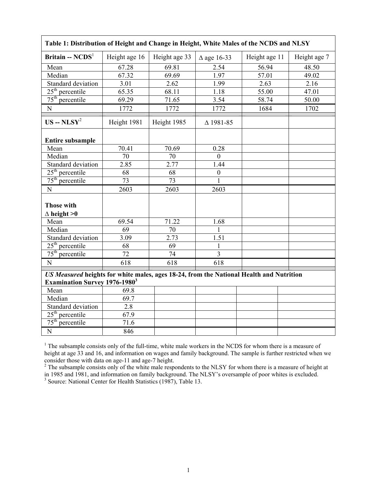| Table 1: Distribution of Height and Change in Height, White Males of the NCDS and NLSY                                                     |                 |                 |                       |               |              |  |  |  |  |  |  |  |  |
|--------------------------------------------------------------------------------------------------------------------------------------------|-----------------|-----------------|-----------------------|---------------|--------------|--|--|--|--|--|--|--|--|
| Britain -- $NCDS1$                                                                                                                         | Height age 16   | Height age 33   | $\triangle$ age 16-33 | Height age 11 | Height age 7 |  |  |  |  |  |  |  |  |
| Mean                                                                                                                                       | 67.28           | 69.81           | 2.54                  | 56.94         | 48.50        |  |  |  |  |  |  |  |  |
| Median                                                                                                                                     | 67.32           | 69.69           | 1.97                  | 57.01         | 49.02        |  |  |  |  |  |  |  |  |
| Standard deviation                                                                                                                         | 3.01            | 2.62            | 1.99                  | 2.63          | 2.16         |  |  |  |  |  |  |  |  |
| $25th$ percentile                                                                                                                          | 65.35           | 68.11           | 1.18                  | 55.00         | 47.01        |  |  |  |  |  |  |  |  |
| $75th$ percentile                                                                                                                          | 69.29           | 71.65           | 3.54                  | 58.74         | 50.00        |  |  |  |  |  |  |  |  |
| $\mathbf N$                                                                                                                                | 1772            | 1772            | 1772                  | 1684          | 1702         |  |  |  |  |  |  |  |  |
| $US - NLSY^2$                                                                                                                              | Height 1981     | Height 1985     | $\Delta$ 1981-85      |               |              |  |  |  |  |  |  |  |  |
| <b>Entire subsample</b>                                                                                                                    |                 |                 |                       |               |              |  |  |  |  |  |  |  |  |
| Mean                                                                                                                                       | 70.41           | 70.69           | 0.28                  |               |              |  |  |  |  |  |  |  |  |
| Median                                                                                                                                     | 70              | 70              | $\overline{0}$        |               |              |  |  |  |  |  |  |  |  |
| Standard deviation                                                                                                                         | 2.85            | 2.77            | 1.44                  |               |              |  |  |  |  |  |  |  |  |
| $25th$ percentile                                                                                                                          | 68              | 68              | $\boldsymbol{0}$      |               |              |  |  |  |  |  |  |  |  |
| $75th$ percentile                                                                                                                          | $\overline{73}$ | 73              | $\mathbf{1}$          |               |              |  |  |  |  |  |  |  |  |
| N                                                                                                                                          | 2603            | 2603            | 2603                  |               |              |  |  |  |  |  |  |  |  |
| <b>Those with</b><br>$\triangle$ height >0                                                                                                 |                 |                 |                       |               |              |  |  |  |  |  |  |  |  |
| Mean                                                                                                                                       | 69.54           | 71.22           | 1.68                  |               |              |  |  |  |  |  |  |  |  |
| Median                                                                                                                                     | $\overline{69}$ | 70              | 1                     |               |              |  |  |  |  |  |  |  |  |
| Standard deviation                                                                                                                         | 3.09            | 2.73            | 1.51                  |               |              |  |  |  |  |  |  |  |  |
| $25th$ percentile                                                                                                                          | $\overline{68}$ | $\overline{69}$ | 1                     |               |              |  |  |  |  |  |  |  |  |
| 75 <sup>th</sup><br>percentile                                                                                                             | $\overline{72}$ | 74              | $\overline{3}$        |               |              |  |  |  |  |  |  |  |  |
| N                                                                                                                                          | 618             | 618             | 618                   |               |              |  |  |  |  |  |  |  |  |
| US Measured heights for white males, ages 18-24, from the National Health and Nutrition<br><b>Examination Survey 1976-1980<sup>3</sup></b> |                 |                 |                       |               |              |  |  |  |  |  |  |  |  |
| Mean                                                                                                                                       | 69.8            |                 |                       |               |              |  |  |  |  |  |  |  |  |
| Median                                                                                                                                     | 69.7            |                 |                       |               |              |  |  |  |  |  |  |  |  |
| Standard deviation                                                                                                                         | 2.8             |                 |                       |               |              |  |  |  |  |  |  |  |  |
| $25th$ percentile                                                                                                                          | 67.9            |                 |                       |               |              |  |  |  |  |  |  |  |  |
| $75th$ percentile                                                                                                                          | 71.6            |                 |                       |               |              |  |  |  |  |  |  |  |  |
| $\overline{N}$                                                                                                                             | 846             |                 |                       |               |              |  |  |  |  |  |  |  |  |

<sup>1</sup> The subsample consists only of the full-time, white male workers in the NCDS for whom there is a measure of height at age 33 and 16, and information on wages and family background. The sample is further restricted when we

consider those with data on age-11 and age-7 height.<br><sup>2</sup> The subsample consists only of the white male respondents to the NLSY for whom there is a measure of height at in 1985 and 1981, and information on family background. The NLSY's oversample of poor whites is excluded.<br><sup>3</sup> Source: National Center for Health Statistics (1987), Table 13.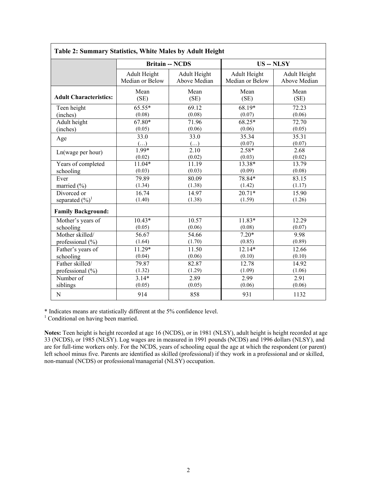| Table 2: Summary Statistics, White Males by Adult Height |                 |                        |                   |              |  |  |  |  |  |  |  |  |  |
|----------------------------------------------------------|-----------------|------------------------|-------------------|--------------|--|--|--|--|--|--|--|--|--|
|                                                          |                 | <b>Britain -- NCDS</b> | <b>US</b> -- NLSY |              |  |  |  |  |  |  |  |  |  |
|                                                          | Adult Height    | Adult Height           | Adult Height      | Adult Height |  |  |  |  |  |  |  |  |  |
|                                                          | Median or Below | Above Median           | Median or Below   | Above Median |  |  |  |  |  |  |  |  |  |
| <b>Adult Characteristics:</b>                            | Mean            | Mean                   | Mean              | Mean         |  |  |  |  |  |  |  |  |  |
|                                                          | (SE)            | (SE)                   | (SE)              | (SE)         |  |  |  |  |  |  |  |  |  |
| Teen height                                              | $65.55*$        | 69.12                  | $68.19*$          | 72.23        |  |  |  |  |  |  |  |  |  |
| (inches)                                                 | (0.08)          | (0.08)                 | (0.07)            | (0.06)       |  |  |  |  |  |  |  |  |  |
| Adult height                                             | $67.80*$        | 71.96                  | $68.25*$          | 72.70        |  |  |  |  |  |  |  |  |  |
| (inches)                                                 | (0.05)          | (0.06)                 | (0.06)            | (0.05)       |  |  |  |  |  |  |  |  |  |
| Age                                                      | 33.0            | 33.0                   | 35.34             | 35.31        |  |  |  |  |  |  |  |  |  |
|                                                          | $(\ldots)$      | $(\ldots)$             | (0.07)            | (0.07)       |  |  |  |  |  |  |  |  |  |
| Ln(wage per hour)                                        | $1.99*$         | 2.10                   | $2.58*$           | 2.68         |  |  |  |  |  |  |  |  |  |
|                                                          | (0.02)          | (0.02)                 | (0.03)            | (0.02)       |  |  |  |  |  |  |  |  |  |
| Years of completed                                       | $11.04*$        | 11.19                  | 13.38*            | 13.79        |  |  |  |  |  |  |  |  |  |
| schooling                                                | (0.03)          | (0.03)                 | (0.09)            | (0.08)       |  |  |  |  |  |  |  |  |  |
| Ever                                                     | 79.89           | 80.09                  | 78.84*            | 83.15        |  |  |  |  |  |  |  |  |  |
| married (%)                                              | (1.34)          | (1.38)                 | (1.42)            | (1.17)       |  |  |  |  |  |  |  |  |  |
| Divorced or                                              | 16.74           | 14.97                  | $20.71*$          | 15.90        |  |  |  |  |  |  |  |  |  |
| separated $(\frac{6}{6})^1$                              | (1.40)          | (1.38)                 | (1.59)            | (1.26)       |  |  |  |  |  |  |  |  |  |
| <b>Family Background:</b>                                |                 |                        |                   |              |  |  |  |  |  |  |  |  |  |
| Mother's years of                                        | $10.43*$        | 10.57                  | $11.83*$          | 12.29        |  |  |  |  |  |  |  |  |  |
| schooling                                                | (0.05)          | (0.06)                 | (0.08)            | (0.07)       |  |  |  |  |  |  |  |  |  |
| Mother skilled/                                          | 56.67           | 54.66                  | $7.20*$           | 9.98         |  |  |  |  |  |  |  |  |  |
| professional $(\% )$                                     | (1.64)          | (1.70)                 | (0.85)            | (0.89)       |  |  |  |  |  |  |  |  |  |
| Father's years of                                        | $11.29*$        | 11.50                  | $12.14*$          | 12.66        |  |  |  |  |  |  |  |  |  |
| schooling                                                | (0.04)          | (0.06)                 | (0.10)            | (0.10)       |  |  |  |  |  |  |  |  |  |
| Father skilled/                                          | 79.87           | 82.87                  | 12.78             | 14.92        |  |  |  |  |  |  |  |  |  |
| professional $(\% )$                                     | (1.32)          | (1.29)                 | (1.09)            | (1.06)       |  |  |  |  |  |  |  |  |  |
| Number of                                                | $3.14*$         | 2.89                   | 2.99              | 2.91         |  |  |  |  |  |  |  |  |  |
| siblings                                                 | (0.05)          | (0.05)                 | (0.06)            | (0.06)       |  |  |  |  |  |  |  |  |  |
| ${\bf N}$                                                | 914             | 858                    | 931               | 1132         |  |  |  |  |  |  |  |  |  |

\* Indicates means are statistically different at the 5% confidence level. 1 Conditional on having been married.

**Notes:** Teen height is height recorded at age 16 (NCDS), or in 1981 (NLSY), adult height is height recorded at age 33 (NCDS), or 1985 (NLSY). Log wages are in measured in 1991 pounds (NCDS) and 1996 dollars (NLSY), and are for full-time workers only. For the NCDS, years of schooling equal the age at which the respondent (or parent) left school minus five. Parents are identified as skilled (professional) if they work in a professional and or skilled, non-manual (NCDS) or professional/managerial (NLSY) occupation.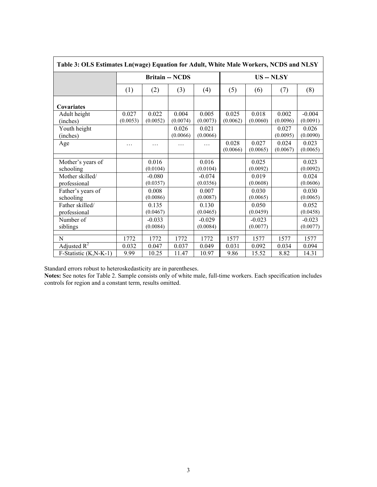| Table 3: OLS Estimates Ln(wage) Equation for Adult, White Male Workers, NCDS and NLSY |          |          |                        |          |                 |          |          |          |  |  |  |  |  |
|---------------------------------------------------------------------------------------|----------|----------|------------------------|----------|-----------------|----------|----------|----------|--|--|--|--|--|
|                                                                                       |          |          | <b>Britain -- NCDS</b> |          | <b>US--NLSY</b> |          |          |          |  |  |  |  |  |
|                                                                                       | (1)      | (2)      | (3)                    | (4)      | (5)             | (6)      | (7)      | (8)      |  |  |  |  |  |
| <b>Covariates</b>                                                                     |          |          |                        |          |                 |          |          |          |  |  |  |  |  |
| Adult height                                                                          | 0.027    | 0.022    | 0.004                  | 0.005    | 0.025           | 0.018    | 0.002    | $-0.004$ |  |  |  |  |  |
| (inches)                                                                              | (0.0053) | (0.0052) | (0.0074)               | (0.0073) | (0.0062)        | (0.0060) | (0.0096) | (0.0091) |  |  |  |  |  |
| Youth height                                                                          |          |          | 0.026                  | 0.021    |                 |          | 0.027    | 0.026    |  |  |  |  |  |
| (inches)                                                                              |          |          | (0.0066)               | (0.0066) |                 |          | (0.0095) | (0.0090) |  |  |  |  |  |
| Age                                                                                   | .        | .        | .                      | .        | 0.028           | 0.027    | 0.024    | 0.023    |  |  |  |  |  |
|                                                                                       |          |          |                        |          | (0.0066)        | (0.0065) | (0.0067) | (0.0065) |  |  |  |  |  |
| Mother's years of                                                                     |          | 0.016    |                        | 0.016    |                 | 0.025    |          | 0.023    |  |  |  |  |  |
| schooling                                                                             |          | (0.0104) |                        | (0.0104) |                 | (0.0092) |          | (0.0092) |  |  |  |  |  |
| Mother skilled/                                                                       |          | $-0.080$ |                        | $-0.074$ |                 | 0.019    |          | 0.024    |  |  |  |  |  |
| professional                                                                          |          | (0.0357) |                        | (0.0356) |                 | (0.0608) |          | (0.0606) |  |  |  |  |  |
| Father's years of                                                                     |          | 0.008    |                        | 0.007    |                 | 0.030    |          | 0.030    |  |  |  |  |  |
| schooling                                                                             |          | (0.0086) |                        | (0.0087) |                 | (0.0065) |          | (0.0065) |  |  |  |  |  |
| Father skilled/                                                                       |          | 0.135    |                        | 0.130    |                 | 0.050    |          | 0.052    |  |  |  |  |  |
| professional                                                                          |          | (0.0467) |                        | (0.0465) |                 | (0.0459) |          | (0.0458) |  |  |  |  |  |
| Number of                                                                             |          | $-0.033$ |                        | $-0.029$ |                 | $-0.023$ |          | $-0.023$ |  |  |  |  |  |
| siblings                                                                              |          | (0.0084) |                        | (0.0084) |                 | (0.0077) |          | (0.0077) |  |  |  |  |  |
| N                                                                                     | 1772     | 1772     | 1772                   | 1772     | 1577            | 1577     | 1577     | 1577     |  |  |  |  |  |
| Adjusted $R^2$                                                                        | 0.032    | 0.047    | 0.037                  | 0.049    | 0.031           | 0.092    | 0.034    | 0.094    |  |  |  |  |  |
|                                                                                       |          |          | 11.47                  |          | 9.86            |          |          | 14.31    |  |  |  |  |  |
| F-Statistic (K,N-K-1)                                                                 | 9.99     | 10.25    |                        | 10.97    |                 | 15.52    | 8.82     |          |  |  |  |  |  |

Standard errors robust to heteroskedasticity are in parentheses.

**Notes:** See notes for Table 2. Sample consists only of white male, full-time workers. Each specification includes controls for region and a constant term, results omitted.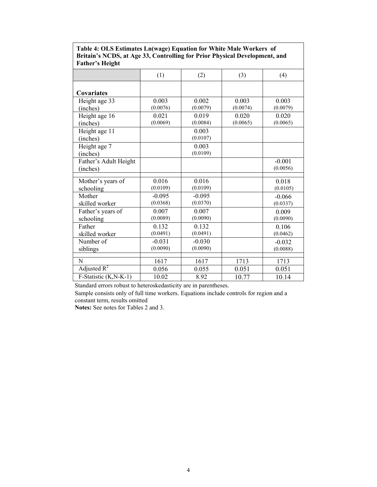| <b>Father's Height</b> |          |          |          |          |
|------------------------|----------|----------|----------|----------|
|                        | (1)      | (2)      | (3)      | (4)      |
|                        |          |          |          |          |
| Covariates             |          |          |          |          |
| Height age 33          | 0.003    | 0.002    | 0.003    | 0.003    |
| (inches)               | (0.0076) | (0.0079) | (0.0074) | (0.0079) |
| Height age 16          | 0.021    | 0.019    | 0.020    | 0.020    |
| (inches)               | (0.0069) | (0.0084) | (0.0065) | (0.0065) |
| Height age 11          |          | 0.003    |          |          |
| (inches)               |          | (0.0107) |          |          |
| Height age 7           |          | 0.003    |          |          |
| (inches)               |          | (0.0109) |          |          |
| Father's Adult Height  |          |          |          | $-0.001$ |
| (inches)               |          |          |          | (0.0056) |
|                        |          |          |          |          |
| Mother's years of      | 0.016    | 0.016    |          | 0.018    |
| schooling              | (0.0109) | (0.0109) |          | (0.0105) |
| Mother                 | $-0.095$ | $-0.095$ |          | $-0.066$ |
| skilled worker         | (0.0368) | (0.0370) |          | (0.0337) |
| Father's years of      | 0.007    | 0.007    |          | 0.009    |
| schooling              | (0.0089) | (0.0090) |          | (0.0090) |
| Father                 | 0.132    | 0.132    |          | 0.106    |
| skilled worker         | (0.0491) | (0.0491) |          | (0.0462) |
| Number of              | $-0.031$ | $-0.030$ |          | $-0.032$ |
| siblings               | (0.0090) | (0.0090) |          | (0.0088) |
|                        |          |          |          |          |
| N                      | 1617     | 1617     | 1713     | 1713     |
| Adjusted $R^2$         | 0.056    | 0.055    | 0.051    | 0.051    |
| F-Statistic (K,N-K-1)  | 10.02    | 8.92     | 10.77    | 10.14    |

**Table 4: OLS Estimates Ln(wage) Equation for White Male Workers of Britain's NCDS, at Age 33, Controlling for Prior Physical Development, and** 

Standard errors robust to heteroskedasticity are in parentheses.

Sample consists only of full time workers. Equations include controls for region and a constant term, results omitted

**Notes:** See notes for Tables 2 and 3.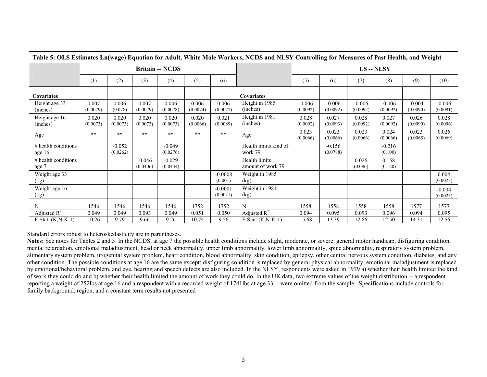|                                   |                   |                      |                      |                        |                   |                       | Table 5: OLS Estimates Ln(wage) Equation for Adult, White Male Workers, NCDS and NLSY Controlling for Measures of Past Health, and Weight |                          |                      |                      |                      |                      |                      |
|-----------------------------------|-------------------|----------------------|----------------------|------------------------|-------------------|-----------------------|-------------------------------------------------------------------------------------------------------------------------------------------|--------------------------|----------------------|----------------------|----------------------|----------------------|----------------------|
|                                   |                   |                      |                      | <b>Britain -- NCDS</b> |                   |                       |                                                                                                                                           | <b>US</b> -- <b>NLSY</b> |                      |                      |                      |                      |                      |
|                                   | (1)               | (2)                  | (3)                  | (4)                    | (5)               | (6)                   |                                                                                                                                           | (5)                      | (6)                  | (7)                  | (8)                  | (9)                  | (10)                 |
| Covariates                        |                   |                      |                      |                        |                   |                       | Covariates                                                                                                                                |                          |                      |                      |                      |                      |                      |
| Height age 33<br>(inches)         | 0.007<br>(0.0079) | 0.006<br>(0.078)     | 0.007<br>(0.0079)    | 0.006<br>(0.0078)      | 0.006<br>(0.0074) | 0.006<br>(0.0077)     | Height in 1985<br>(inches)                                                                                                                | $-0.006$<br>(0.0092)     | $-0.006$<br>(0.0092) | $-0.006$<br>(0.0092) | $-0.006$<br>(0.0092) | $-0.004$<br>(0.0090) | $-0.006$<br>(0.0091) |
| Height age 16<br>(inches)         | 0.020<br>(0.0073) | 0.020<br>(0.0073)    | 0.020<br>(0.0073)    | 0.020<br>(0.0073)      | 0.020<br>(0.0066) | 0.021<br>(0.0089)     | Height in 1981<br>(inches)                                                                                                                | 0.028<br>(0.0092)        | 0.027<br>(0.0093)    | 0.028<br>(0.0092)    | 0.027<br>(0.0092)    | 0.026<br>(0.0090)    | 0.028<br>(0.0096)    |
| Age                               | $**$              | $***$                | $***$                | $***$                  | $\ast\ast$        | $***$                 | Age                                                                                                                                       | 0.023<br>(0.0066)        | 0.023<br>(0.0066)    | 0.023<br>(0.0066)    | 0.024<br>(0.0066)    | 0.023<br>(0.0065)    | 0.026<br>(0.0069)    |
| $#$ health conditions<br>age $16$ |                   | $-0.052$<br>(0.0262) |                      | $-0.049$<br>(0.0276)   |                   |                       | Health limits kind of<br>work 79                                                                                                          |                          | $-0.156$<br>(0.0788) |                      | $-0.216$<br>(0.100)  |                      |                      |
| $#$ health conditions<br>age 7    |                   |                      | $-0.046$<br>(0.0406) | $-0.029$<br>(0.0434)   |                   |                       | Health limits<br>amount of work 79                                                                                                        |                          |                      | 0.026<br>(0.086)     | 0.158<br>(0.120)     |                      |                      |
| Weight age 33<br>(kg)             |                   |                      |                      |                        |                   | $-0.0008$<br>(0.001)  | Weight in 1985<br>(kg)                                                                                                                    |                          |                      |                      |                      |                      | 0.004<br>(0.0023)    |
| Weight age 16<br>(kg)             |                   |                      |                      |                        |                   | $-0.0001$<br>(0.0021) | Weight in 1981<br>(kg)                                                                                                                    |                          |                      |                      |                      |                      | $-0.004$<br>(0.0025) |
| N                                 | 1546              | 1546                 | 1546                 | 1546                   | 1752              | 1752                  | N                                                                                                                                         | 1558                     | 1558                 | 1558                 | 1558                 | 1577                 | 1577                 |
| Adjusted $R^2$                    | 0.049             | 0.049                | 0.093                | 0.049                  | 0.051             | 0.050                 | Adjusted $R^2$                                                                                                                            | 0.094                    | 0.095                | 0.093                | 0.096                | 0.094                | 0.095                |
| $F-Stat. (K,N-K-1)$               | 10.26             | 9.79                 | 9.66                 | 9.26                   | 10.74             | 9.56                  | $F-Stat. (K,N-K-1)$                                                                                                                       | 15.68                    | 13.39                | 12.86                | 12.50                | 14.31                | 12.56                |

Standard errors robust to heteroskedasticity are in parentheses.

**Notes:** See notes for Tables 2 and 3. In the NCDS, at age 7 the possible health conditions include slight, moderate, or severe: general motor handicap, disfiguring condition, mental retardation, emotional maladjustment, head or neck abnormality, upper limb abnormality, lower limb abnormality, spine abnormality, respiratory system problem, alimentary system problem, urogenital system problem, heart condition, blood abnormality, skin condition, epilepsy, other central nervous system condition, diabetes, and any other condition. The possible conditions at age 16 are the same except: disfiguring condition is replaced by general physical abnormality, emotional maladjustment is replaced by emotional/behavioral problem, and eye, hearing and speech defects are also included. In the NLSY, respondents were asked in 1979 a) whether their health limited the kind of work they could do and b) whether their health limited the amount of work they could do. In the UK data, two extreme values of the weight distribution -- a respondent reporting a weight of 252lbs at age 16 and a respondent with a recorded weight of 1741lbs at age 33 -- were omitted from the sample. Specifications include controls for family background, region, and a constant term results not presented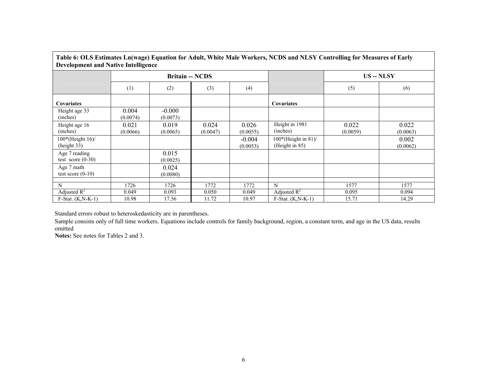| <b>Development and Native Intelligence</b> |                   |                        |                   |                      | Table 6: OLS Estimates Ln(wage) Equation for Adult, White Male Workers, NCDS and NLSY Controlling for Measures of Early |                          |                   |  |  |  |
|--------------------------------------------|-------------------|------------------------|-------------------|----------------------|-------------------------------------------------------------------------------------------------------------------------|--------------------------|-------------------|--|--|--|
|                                            |                   | <b>Britain -- NCDS</b> |                   |                      |                                                                                                                         | <b>US</b> -- <b>NLSY</b> |                   |  |  |  |
|                                            | (1)               | (2)                    | (3)               | (4)                  |                                                                                                                         | (5)                      | (6)               |  |  |  |
| <b>Covariates</b>                          |                   |                        |                   |                      | <b>Covariates</b>                                                                                                       |                          |                   |  |  |  |
| Height age 33<br>(inches)                  | 0.004<br>(0.0074) | $-0.000$<br>(0.0073)   |                   |                      |                                                                                                                         |                          |                   |  |  |  |
| Height age 16<br>(inches)                  | 0.021<br>(0.0066) | 0.019<br>(0.0065)      | 0.024<br>(0.0047) | 0.026<br>(0.0055)    | Height in 1981<br>(inches)                                                                                              | 0.022<br>(0.0059)        | 0.022<br>(0.0063) |  |  |  |
| $100*(Height 16)$<br>(height 33)           |                   |                        |                   | $-0.004$<br>(0.0053) | $100*(Height in 81)/$<br>(Height in 85)                                                                                 |                          | 0.002<br>(0.0062) |  |  |  |
| Age 7 reading<br>test score $(0-30)$       |                   | 0.015<br>(0.0025)      |                   |                      |                                                                                                                         |                          |                   |  |  |  |
| Age 7 math<br>test score $(0-10)$          |                   | 0.024<br>(0.0080)      |                   |                      |                                                                                                                         |                          |                   |  |  |  |
| N                                          | 1726              | 1726                   | 1772              | 1772                 | N                                                                                                                       | 1577                     | 1577              |  |  |  |
| Adjusted $R^2$                             | 0.049             | 0.093                  | 0.050             | 0.049                | Adjusted $R^2$                                                                                                          | 0.095                    | 0.094             |  |  |  |
| $F-Stat. (K.N-K-1)$                        | 10.98             | 17.56                  | 11.72             | 10.97                | $F-Stat. (K.N-K-1)$                                                                                                     | 15.71                    | 14.29             |  |  |  |

 $\Gamma$ 

┑

Standard errors robust to heteroskedasticity are in parentheses.

Sample consists only of full time workers. Equations include controls for family background, region, a constant term, and age in the US data, results omitted

**Notes:** See notes for Tables 2 and 3.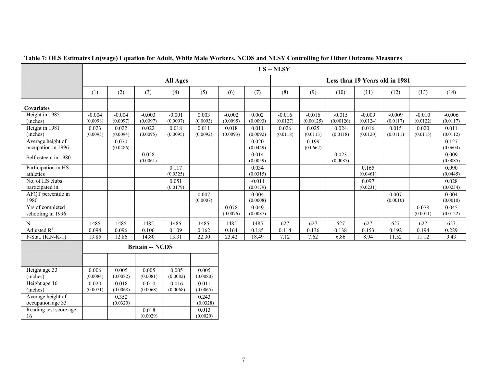| Table 7: OLS Estimates Ln(wage) Equation for Adult, White Male Workers, NCDS and NLSY Controlling for Other Outcome Measures |                      |                      |                        |                      |                   |                      |                      |                                |                       |                       |                      |                      |                      |                      |  |
|------------------------------------------------------------------------------------------------------------------------------|----------------------|----------------------|------------------------|----------------------|-------------------|----------------------|----------------------|--------------------------------|-----------------------|-----------------------|----------------------|----------------------|----------------------|----------------------|--|
|                                                                                                                              |                      |                      |                        |                      |                   |                      |                      | <b>US</b> -- NLSY              |                       |                       |                      |                      |                      |                      |  |
|                                                                                                                              |                      |                      |                        | <b>All Ages</b>      |                   |                      |                      | Less than 19 Years old in 1981 |                       |                       |                      |                      |                      |                      |  |
|                                                                                                                              | (1)                  | (2)                  | (3)                    | (4)                  | (5)               | (6)                  | (7)                  | (8)                            | (9)                   | (10)                  | (11)                 | (12)                 | (13)                 | (14)                 |  |
| Covariates                                                                                                                   |                      |                      |                        |                      |                   |                      |                      |                                |                       |                       |                      |                      |                      |                      |  |
| Height in 1985<br>(inches)                                                                                                   | $-0.004$<br>(0.0098) | $-0.004$<br>(0.0097) | $-0.003$<br>(0.0097)   | $-0.001$<br>(0.0097) | 0.003<br>(0.0093) | $-0.002$<br>(0.0095) | 0.002<br>(0.0093)    | $-0.016$<br>(0.0127)           | $-0.016$<br>(0.00125) | $-0.015$<br>(0.00126) | $-0.009$<br>(0.0124) | $-0.009$<br>(0.0117) | $-0.010$<br>(0.0122) | $-0.006$<br>(0.0117) |  |
| Height in 1981<br>(inches)                                                                                                   | 0.023<br>(0.0095)    | 0.022<br>(0.0094)    | 0.022<br>(0.0095)      | 0.018<br>(0.0095)    | 0.011<br>(0.0092) | 0.018<br>(0.0093)    | 0.011<br>(0.0092)    | 0.026<br>(0.0118)              | 0.025<br>(0.0113)     | 0.024<br>(0.0118)     | 0.016<br>(0.0120)    | 0.015<br>(0.0111)    | 0.020<br>(0.0115)    | 0.011<br>(0.0112)    |  |
| Average height of<br>occupation in 1996                                                                                      |                      | 0.070<br>(0.0486)    |                        |                      |                   |                      | 0.020<br>(0.0449)    |                                | 0.199<br>(0.0662)     |                       |                      |                      |                      | 0.127<br>(0.0604)    |  |
| Self-esteem in 1980                                                                                                          |                      |                      | 0.028<br>(0.0061)      |                      |                   |                      | 0.014<br>(0.0059)    |                                |                       | 0.023<br>(0.0087)     |                      |                      |                      | 0.009<br>(0.0085)    |  |
| Participation in HS<br>athletics                                                                                             |                      |                      |                        | 0.117<br>(0.0325)    |                   |                      | 0.034<br>(0.0315)    |                                |                       |                       | 0.165<br>(0.0461)    |                      |                      | 0.090<br>(0.0445)    |  |
| No. of HS clubs<br>participated in                                                                                           |                      |                      |                        | 0.051<br>(0.0179)    |                   |                      | $-0.011$<br>(0.0179) |                                |                       |                       | 0.097<br>(0.0231)    |                      |                      | 0.028<br>(0.0234)    |  |
| AFQT percentile in<br>1980                                                                                                   |                      |                      |                        |                      | 0.007<br>(0.0007) |                      | 0.004<br>(0.0008)    |                                |                       |                       |                      | 0.007<br>(0.0010)    |                      | 0.004<br>(0.0010)    |  |
| Yrs of completed<br>schooling in 1996                                                                                        |                      |                      |                        |                      |                   | 0.078<br>(0.0076)    | 0.049<br>(0.0087)    |                                |                       |                       |                      |                      | 0.078<br>(0.0011)    | 0.045<br>(0.0122)    |  |
| $\mathbf N$                                                                                                                  | 1485                 | 1485                 | 1485                   | 1485                 | 1485              | 1485                 | 1485                 | 627                            | 627                   | 627                   | 627                  | 627                  | 627                  | 627                  |  |
| Adjusted $R^2$                                                                                                               | 0.094                | 0.096                | 0.106                  | 0.109                | 0.162             | 0.164                | 0.185                | 0.114                          | 0.136                 | 0.138                 | 0.153                | 0.192                | 0.194                | 0.229                |  |
| F-Stat. $(K, N-K-1)$                                                                                                         | 13.85                | 12.86                | 14.80                  | 13.31                | 22.30             | 23.42                | 18.49                | 7.12                           | 7.62                  | 6.86                  | 8.94                 | 11.52                | 11.12                | 9.43                 |  |
|                                                                                                                              |                      |                      | <b>Britain -- NCDS</b> |                      |                   |                      |                      |                                |                       |                       |                      |                      |                      |                      |  |
|                                                                                                                              |                      |                      |                        |                      |                   |                      |                      |                                |                       |                       |                      |                      |                      |                      |  |
| Height age 33<br>(inches)                                                                                                    | 0.006<br>(0.0084)    | 0.005<br>(0.0082)    | 0.005<br>(0.0081)      | 0.005<br>(0.0082)    | 0.005<br>(0.0080) |                      |                      |                                |                       |                       |                      |                      |                      |                      |  |
| Height age 16<br>(inches)                                                                                                    | 0.020<br>(0.0071)    | 0.018<br>(0.0068)    | 0.010<br>(0.0068)      | 0.016<br>(0.0068)    | 0.011<br>(0.0065) |                      |                      |                                |                       |                       |                      |                      |                      |                      |  |
| Average height of<br>occupation age 33                                                                                       |                      | 0.352<br>(0.0320)    |                        |                      | 0.243<br>(0.0328) |                      |                      |                                |                       |                       |                      |                      |                      |                      |  |
| Reading test score age<br>16                                                                                                 |                      |                      | 0.018<br>(0.0029)      |                      | 0.013<br>(0.0029) |                      |                      |                                |                       |                       |                      |                      |                      |                      |  |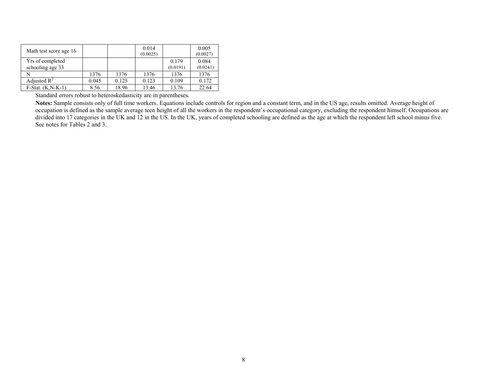| Math test score age 16               |       |       | 0.014<br>(0.0025) |                   | 0.005<br>(0.0027) |
|--------------------------------------|-------|-------|-------------------|-------------------|-------------------|
| Yrs of completed<br>schooling age 33 |       |       |                   | 0.179<br>(0.0191) | 0.084<br>(0.0241) |
|                                      | 1376  | 1376  | 1376              | 1376              | 1376              |
| Adjusted $R^2$                       | 0.045 | 0.125 | 0.123             | 0.109             | 0.172             |
| $F-Stat. (K.N-K-1)$                  | 8.56  | 18.96 | 13.46             | 13.76             | 22.64             |

Standard errors robust to heteroskedasticity are in parentheses.

**Notes:** Sample consists only of full time workers. Equations include controls for region and a constant term, and in the US age, results omitted. Average height of occupation is defined as the sample average teen height of all the workers in the respondent's occupational category, excluding the respondent himself. Occupations are divided into 17 categories in the UK and 12 in the US. In the UK, years of completed schooling are defined as the age at which the respondent left school minus five. See notes for Tables 2 and 3.